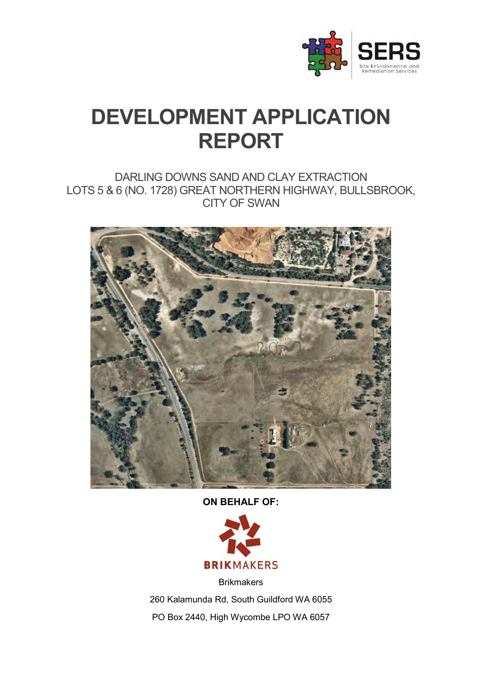

# **DEVELOPMENT APPLICATION REPORT**

DARLING DOWNS SAND AND CLAY EXTRACTION LOTS 5 & 6 (NO. 1728) GREAT NORTHERN HIGHWAY, BULLSBROOK, CITY OF SWAN



**ON BEHALF OF:**



Brikmakers 260 Kalamunda Rd, South Guildford WA 6055 PO Box 2440, High Wycombe LPO WA 6057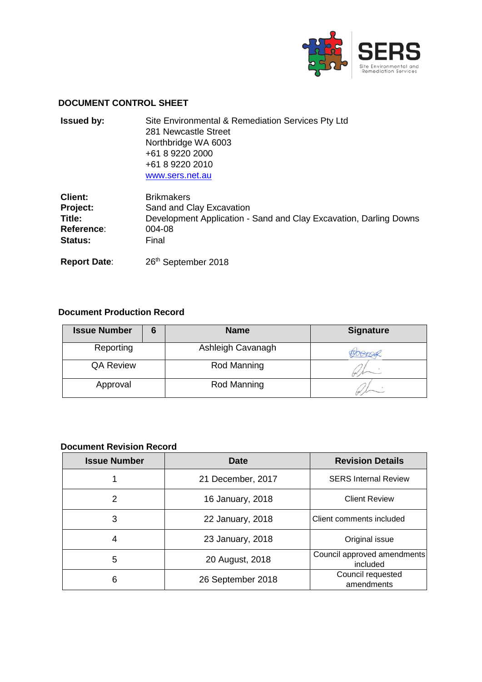

#### **DOCUMENT CONTROL SHEET**

| <b>Issued by:</b> | Site Environmental & Remediation Services Pty Ltd |
|-------------------|---------------------------------------------------|
|                   | 281 Newcastle Street                              |
|                   | Northbridge WA 6003                               |
|                   | +61 8 9220 2000                                   |
|                   | +61 8 9220 2010                                   |
|                   | www.sers.net.au                                   |
|                   |                                                   |

| <b>Client:</b>  | <b>Brikmakers</b>                                                 |
|-----------------|-------------------------------------------------------------------|
| <b>Project:</b> | Sand and Clay Excavation                                          |
| Title:          | Development Application - Sand and Clay Excavation, Darling Downs |
| Reference:      | 004-08                                                            |
| Status:         | Final                                                             |
|                 |                                                                   |

Report Date: 26<sup>th</sup> September 2018

#### **Document Production Record**

| <b>Issue Number</b> | 6 | <b>Name</b>       | <b>Signature</b> |
|---------------------|---|-------------------|------------------|
| Reporting           |   | Ashleigh Cavanagh |                  |
| <b>QA Review</b>    |   | Rod Manning       |                  |
| Approval            |   | Rod Manning       |                  |

#### **Document Revision Record**

| <b>Issue Number</b> | <b>Date</b>       | <b>Revision Details</b>                 |
|---------------------|-------------------|-----------------------------------------|
|                     | 21 December, 2017 | <b>SERS Internal Review</b>             |
| 2                   | 16 January, 2018  | <b>Client Review</b>                    |
| 3                   | 22 January, 2018  | Client comments included                |
| 4                   | 23 January, 2018  | Original issue                          |
| 5                   | 20 August, 2018   | Council approved amendments<br>included |
| 6                   | 26 September 2018 | Council requested<br>amendments         |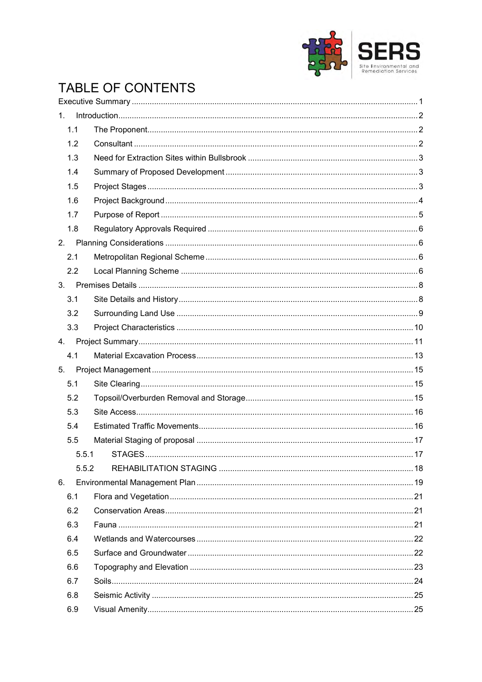

### TABLE OF CONTENTS

| 1 <sub>1</sub> |  |
|----------------|--|
| 1.1            |  |
| 1.2            |  |
| 1.3            |  |
| 1.4            |  |
| 1.5            |  |
| 1.6            |  |
| 1.7            |  |
| 1.8            |  |
|                |  |
| 2.1            |  |
| 2.2            |  |
|                |  |
| 3.1            |  |
| 3.2            |  |
| 3.3            |  |
| 4.             |  |
| 4.1            |  |
| 5.             |  |
| 5.1            |  |
| 5.2            |  |
| 5.3            |  |
| 5.4            |  |
| 5.5            |  |
| 5.5.1          |  |
| 5.5.2          |  |
| 6.             |  |
| 6.1            |  |
| 6.2            |  |
| 6.3            |  |
| 6.4            |  |
| 6.5            |  |
| 6.6            |  |
| 6.7            |  |
| 6.8            |  |
| 6.9            |  |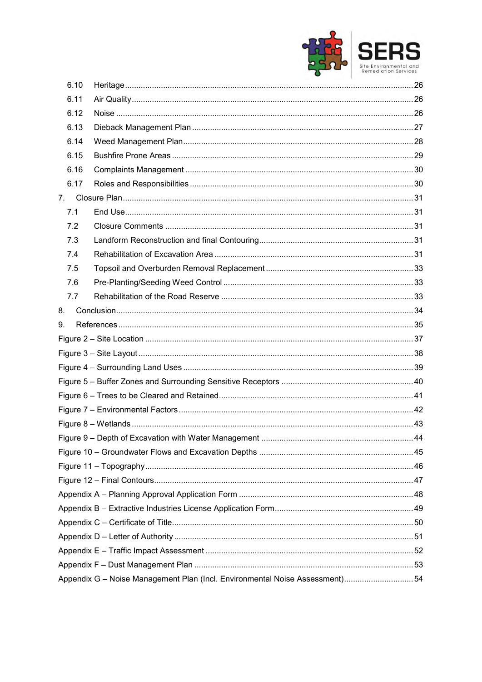

| 6.10 |                                                                             |  |
|------|-----------------------------------------------------------------------------|--|
| 6.11 |                                                                             |  |
| 6.12 |                                                                             |  |
| 6.13 |                                                                             |  |
| 6.14 |                                                                             |  |
| 6.15 |                                                                             |  |
| 6.16 |                                                                             |  |
| 6.17 |                                                                             |  |
| 7.   |                                                                             |  |
| 7.1  |                                                                             |  |
| 7.2  |                                                                             |  |
| 7.3  |                                                                             |  |
| 7.4  |                                                                             |  |
| 7.5  |                                                                             |  |
| 7.6  |                                                                             |  |
| 7.7  |                                                                             |  |
| 8.   |                                                                             |  |
| 9.   |                                                                             |  |
|      |                                                                             |  |
|      |                                                                             |  |
|      |                                                                             |  |
|      |                                                                             |  |
|      |                                                                             |  |
|      |                                                                             |  |
|      |                                                                             |  |
|      |                                                                             |  |
|      |                                                                             |  |
|      |                                                                             |  |
|      |                                                                             |  |
|      |                                                                             |  |
|      |                                                                             |  |
|      |                                                                             |  |
|      |                                                                             |  |
|      |                                                                             |  |
|      |                                                                             |  |
|      | Appendix G - Noise Management Plan (Incl. Environmental Noise Assessment)54 |  |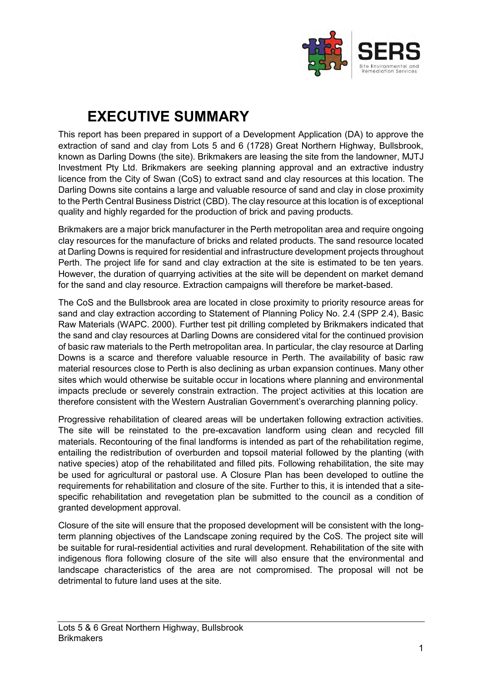

## **EXECUTIVE SUMMARY**

<span id="page-4-0"></span>This report has been prepared in support of a Development Application (DA) to approve the extraction of sand and clay from Lots 5 and 6 (1728) Great Northern Highway, Bullsbrook, known as Darling Downs (the site). Brikmakers are leasing the site from the landowner, MJTJ Investment Pty Ltd. Brikmakers are seeking planning approval and an extractive industry licence from the City of Swan (CoS) to extract sand and clay resources at this location. The Darling Downs site contains a large and valuable resource of sand and clay in close proximity to the Perth Central Business District (CBD). The clay resource at this location is of exceptional quality and highly regarded for the production of brick and paving products.

Brikmakers are a major brick manufacturer in the Perth metropolitan area and require ongoing clay resources for the manufacture of bricks and related products. The sand resource located at Darling Downs is required for residential and infrastructure development projects throughout Perth. The project life for sand and clay extraction at the site is estimated to be ten years. However, the duration of quarrying activities at the site will be dependent on market demand for the sand and clay resource. Extraction campaigns will therefore be market-based.

The CoS and the Bullsbrook area are located in close proximity to priority resource areas for sand and clay extraction according to Statement of Planning Policy No. 2.4 (SPP 2.4), Basic Raw Materials (WAPC. 2000). Further test pit drilling completed by Brikmakers indicated that the sand and clay resources at Darling Downs are considered vital for the continued provision of basic raw materials to the Perth metropolitan area. In particular, the clay resource at Darling Downs is a scarce and therefore valuable resource in Perth. The availability of basic raw material resources close to Perth is also declining as urban expansion continues. Many other sites which would otherwise be suitable occur in locations where planning and environmental impacts preclude or severely constrain extraction. The project activities at this location are therefore consistent with the Western Australian Government's overarching planning policy.

Progressive rehabilitation of cleared areas will be undertaken following extraction activities. The site will be reinstated to the pre-excavation landform using clean and recycled fill materials. Recontouring of the final landforms is intended as part of the rehabilitation regime, entailing the redistribution of overburden and topsoil material followed by the planting (with native species) atop of the rehabilitated and filled pits. Following rehabilitation, the site may be used for agricultural or pastoral use. A Closure Plan has been developed to outline the requirements for rehabilitation and closure of the site. Further to this, it is intended that a sitespecific rehabilitation and revegetation plan be submitted to the council as a condition of granted development approval.

Closure of the site will ensure that the proposed development will be consistent with the longterm planning objectives of the Landscape zoning required by the CoS. The project site will be suitable for rural-residential activities and rural development. Rehabilitation of the site with indigenous flora following closure of the site will also ensure that the environmental and landscape characteristics of the area are not compromised. The proposal will not be detrimental to future land uses at the site.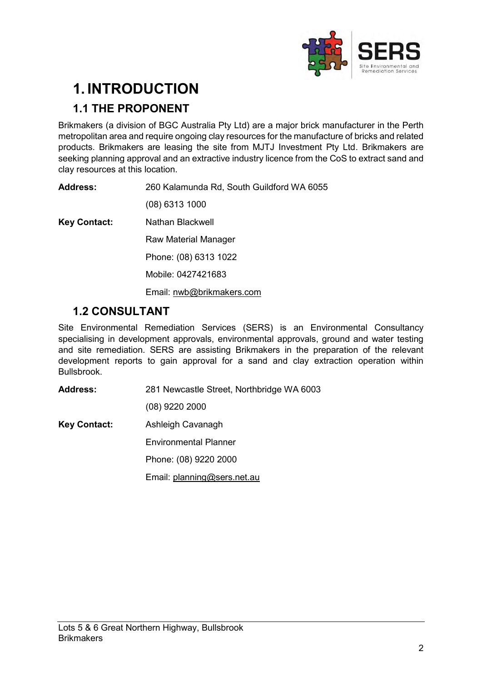

## <span id="page-5-0"></span>**1. INTRODUCTION**

### <span id="page-5-1"></span>**1.1 THE PROPONENT**

Brikmakers (a division of BGC Australia Pty Ltd) are a major brick manufacturer in the Perth metropolitan area and require ongoing clay resources for the manufacture of bricks and related products. Brikmakers are leasing the site from MJTJ Investment Pty Ltd. Brikmakers are seeking planning approval and an extractive industry licence from the CoS to extract sand and clay resources at this location.

**Address:** 260 Kalamunda Rd, South Guildford WA 6055 (08) 6313 1000

**Key Contact:** Nathan Blackwell Raw Material Manager Phone: (08) 6313 1022 Mobile: 0427421683 Email: [nwb@brikmakers.com](mailto:nwb@brikmakers.com)

#### <span id="page-5-2"></span>**1.2 CONSULTANT**

Site Environmental Remediation Services (SERS) is an Environmental Consultancy specialising in development approvals, environmental approvals, ground and water testing and site remediation. SERS are assisting Brikmakers in the preparation of the relevant development reports to gain approval for a sand and clay extraction operation within Bullsbrook.

**Address:** 281 Newcastle Street, Northbridge WA 6003

(08) 9220 2000

**Key Contact:** Ashleigh Cavanagh

Environmental Planner

Phone: (08) 9220 2000

Email: [planning@sers.net.au](mailto:planning@sers.net.au)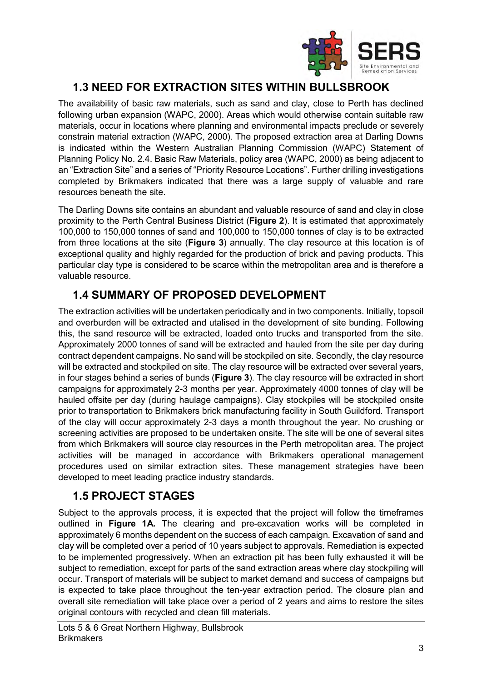

#### <span id="page-6-0"></span>**1.3 NEED FOR EXTRACTION SITES WITHIN BULLSBROOK**

The availability of basic raw materials, such as sand and clay, close to Perth has declined following urban expansion (WAPC, 2000). Areas which would otherwise contain suitable raw materials, occur in locations where planning and environmental impacts preclude or severely constrain material extraction (WAPC, 2000). The proposed extraction area at Darling Downs is indicated within the Western Australian Planning Commission (WAPC) Statement of Planning Policy No. 2.4. Basic Raw Materials, policy area (WAPC, 2000) as being adjacent to an "Extraction Site" and a series of "Priority Resource Locations". Further drilling investigations completed by Brikmakers indicated that there was a large supply of valuable and rare resources beneath the site.

The Darling Downs site contains an abundant and valuable resource of sand and clay in close proximity to the Perth Central Business District (**Figure 2**). It is estimated that approximately 100,000 to 150,000 tonnes of sand and 100,000 to 150,000 tonnes of clay is to be extracted from three locations at the site (**Figure 3**) annually. The clay resource at this location is of exceptional quality and highly regarded for the production of brick and paving products. This particular clay type is considered to be scarce within the metropolitan area and is therefore a valuable resource.

#### <span id="page-6-1"></span>**1.4 SUMMARY OF PROPOSED DEVELOPMENT**

The extraction activities will be undertaken periodically and in two components. Initially, topsoil and overburden will be extracted and utalised in the development of site bunding. Following this, the sand resource will be extracted, loaded onto trucks and transported from the site. Approximately 2000 tonnes of sand will be extracted and hauled from the site per day during contract dependent campaigns. No sand will be stockpiled on site. Secondly, the clay resource will be extracted and stockpiled on site. The clay resource will be extracted over several years, in four stages behind a series of bunds (**Figure 3**). The clay resource will be extracted in short campaigns for approximately 2-3 months per year. Approximately 4000 tonnes of clay will be hauled offsite per day (during haulage campaigns). Clay stockpiles will be stockpiled onsite prior to transportation to Brikmakers brick manufacturing facility in South Guildford. Transport of the clay will occur approximately 2-3 days a month throughout the year. No crushing or screening activities are proposed to be undertaken onsite. The site will be one of several sites from which Brikmakers will source clay resources in the Perth metropolitan area. The project activities will be managed in accordance with Brikmakers operational management procedures used on similar extraction sites. These management strategies have been developed to meet leading practice industry standards.

#### <span id="page-6-2"></span>**1.5 PROJECT STAGES**

Subject to the approvals process, it is expected that the project will follow the timeframes outlined in **Figure 1A.** The clearing and pre-excavation works will be completed in approximately 6 months dependent on the success of each campaign. Excavation of sand and clay will be completed over a period of 10 years subject to approvals. Remediation is expected to be implemented progressively. When an extraction pit has been fully exhausted it will be subject to remediation, except for parts of the sand extraction areas where clay stockpiling will occur. Transport of materials will be subject to market demand and success of campaigns but is expected to take place throughout the ten-year extraction period. The closure plan and overall site remediation will take place over a period of 2 years and aims to restore the sites original contours with recycled and clean fill materials.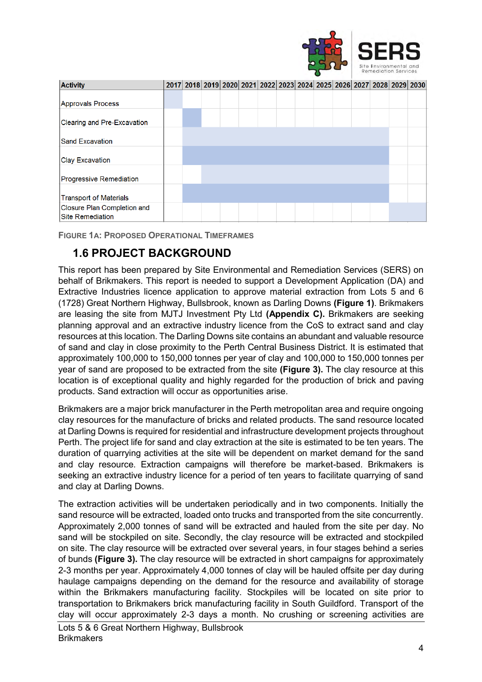

| <b>Activity</b>                |  |  |  |  |  | 2017 2018 2019 2020 2021 2022 2023 2024 2025 2026 2027 2028 2029 2030 |  |
|--------------------------------|--|--|--|--|--|-----------------------------------------------------------------------|--|
|                                |  |  |  |  |  |                                                                       |  |
| <b>Approvals Process</b>       |  |  |  |  |  |                                                                       |  |
|                                |  |  |  |  |  |                                                                       |  |
| Clearing and Pre-Excavation    |  |  |  |  |  |                                                                       |  |
|                                |  |  |  |  |  |                                                                       |  |
| <b>Sand Excavation</b>         |  |  |  |  |  |                                                                       |  |
|                                |  |  |  |  |  |                                                                       |  |
| <b>Clay Excavation</b>         |  |  |  |  |  |                                                                       |  |
|                                |  |  |  |  |  |                                                                       |  |
| <b>Progressive Remediation</b> |  |  |  |  |  |                                                                       |  |
|                                |  |  |  |  |  |                                                                       |  |
| <b>Transport of Materials</b>  |  |  |  |  |  |                                                                       |  |
| Closure Plan Completion and    |  |  |  |  |  |                                                                       |  |
| <b>Site Remediation</b>        |  |  |  |  |  |                                                                       |  |

**FIGURE 1A: PROPOSED OPERATIONAL TIMEFRAMES**

#### <span id="page-7-0"></span>**1.6 PROJECT BACKGROUND**

This report has been prepared by Site Environmental and Remediation Services (SERS) on behalf of Brikmakers. This report is needed to support a Development Application (DA) and Extractive Industries licence application to approve material extraction from Lots 5 and 6 (1728) Great Northern Highway, Bullsbrook, known as Darling Downs **(Figure 1)**. Brikmakers are leasing the site from MJTJ Investment Pty Ltd **(Appendix C).** Brikmakers are seeking planning approval and an extractive industry licence from the CoS to extract sand and clay resources at this location. The Darling Downs site contains an abundant and valuable resource of sand and clay in close proximity to the Perth Central Business District. It is estimated that approximately 100,000 to 150,000 tonnes per year of clay and 100,000 to 150,000 tonnes per year of sand are proposed to be extracted from the site **(Figure 3).** The clay resource at this location is of exceptional quality and highly regarded for the production of brick and paving products. Sand extraction will occur as opportunities arise.

Brikmakers are a major brick manufacturer in the Perth metropolitan area and require ongoing clay resources for the manufacture of bricks and related products. The sand resource located at Darling Downs is required for residential and infrastructure development projects throughout Perth. The project life for sand and clay extraction at the site is estimated to be ten years. The duration of quarrying activities at the site will be dependent on market demand for the sand and clay resource. Extraction campaigns will therefore be market-based. Brikmakers is seeking an extractive industry licence for a period of ten years to facilitate quarrying of sand and clay at Darling Downs.

The extraction activities will be undertaken periodically and in two components. Initially the sand resource will be extracted, loaded onto trucks and transported from the site concurrently. Approximately 2,000 tonnes of sand will be extracted and hauled from the site per day. No sand will be stockpiled on site. Secondly, the clay resource will be extracted and stockpiled on site. The clay resource will be extracted over several years, in four stages behind a series of bunds **(Figure 3).** The clay resource will be extracted in short campaigns for approximately 2-3 months per year. Approximately 4,000 tonnes of clay will be hauled offsite per day during haulage campaigns depending on the demand for the resource and availability of storage within the Brikmakers manufacturing facility. Stockpiles will be located on site prior to transportation to Brikmakers brick manufacturing facility in South Guildford. Transport of the clay will occur approximately 2-3 days a month. No crushing or screening activities are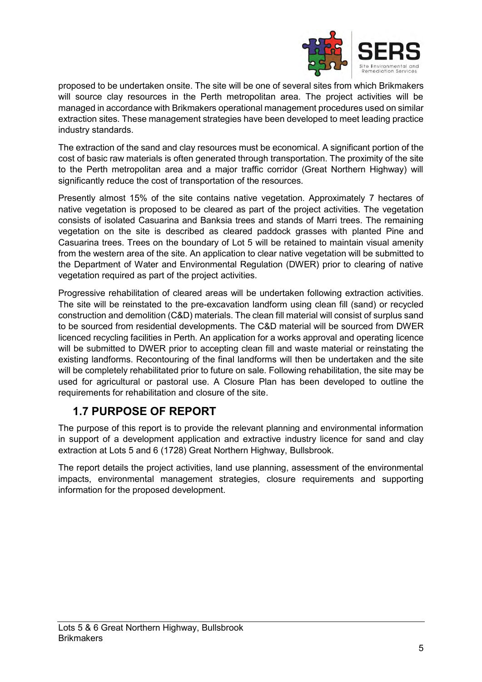

proposed to be undertaken onsite. The site will be one of several sites from which Brikmakers will source clay resources in the Perth metropolitan area. The project activities will be managed in accordance with Brikmakers operational management procedures used on similar extraction sites. These management strategies have been developed to meet leading practice industry standards.

The extraction of the sand and clay resources must be economical. A significant portion of the cost of basic raw materials is often generated through transportation. The proximity of the site to the Perth metropolitan area and a major traffic corridor (Great Northern Highway) will significantly reduce the cost of transportation of the resources.

Presently almost 15% of the site contains native vegetation. Approximately 7 hectares of native vegetation is proposed to be cleared as part of the project activities. The vegetation consists of isolated Casuarina and Banksia trees and stands of Marri trees. The remaining vegetation on the site is described as cleared paddock grasses with planted Pine and Casuarina trees. Trees on the boundary of Lot 5 will be retained to maintain visual amenity from the western area of the site. An application to clear native vegetation will be submitted to the Department of Water and Environmental Regulation (DWER) prior to clearing of native vegetation required as part of the project activities.

Progressive rehabilitation of cleared areas will be undertaken following extraction activities. The site will be reinstated to the pre-excavation landform using clean fill (sand) or recycled construction and demolition (C&D) materials. The clean fill material will consist of surplus sand to be sourced from residential developments. The C&D material will be sourced from DWER licenced recycling facilities in Perth. An application for a works approval and operating licence will be submitted to DWER prior to accepting clean fill and waste material or reinstating the existing landforms. Recontouring of the final landforms will then be undertaken and the site will be completely rehabilitated prior to future on sale. Following rehabilitation, the site may be used for agricultural or pastoral use. A Closure Plan has been developed to outline the requirements for rehabilitation and closure of the site.

#### <span id="page-8-0"></span>**1.7 PURPOSE OF REPORT**

The purpose of this report is to provide the relevant planning and environmental information in support of a development application and extractive industry licence for sand and clay extraction at Lots 5 and 6 (1728) Great Northern Highway, Bullsbrook.

The report details the project activities, land use planning, assessment of the environmental impacts, environmental management strategies, closure requirements and supporting information for the proposed development.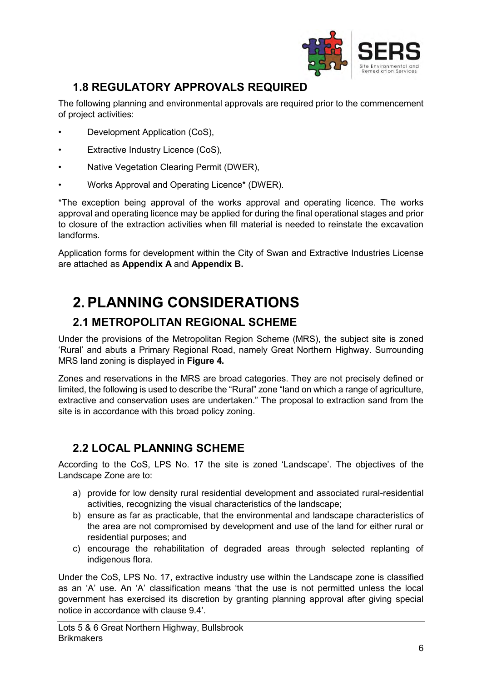

### <span id="page-9-0"></span>**1.8 REGULATORY APPROVALS REQUIRED**

The following planning and environmental approvals are required prior to the commencement of project activities:

- Development Application (CoS),
- Extractive Industry Licence (CoS),
- Native Vegetation Clearing Permit (DWER),
- Works Approval and Operating Licence\* (DWER).

\*The exception being approval of the works approval and operating licence. The works approval and operating licence may be applied for during the final operational stages and prior to closure of the extraction activities when fill material is needed to reinstate the excavation landforms.

Application forms for development within the City of Swan and Extractive Industries License are attached as **Appendix A** and **Appendix B.**

## <span id="page-9-1"></span>**2. PLANNING CONSIDERATIONS**

#### <span id="page-9-2"></span>**2.1 METROPOLITAN REGIONAL SCHEME**

Under the provisions of the Metropolitan Region Scheme (MRS), the subject site is zoned 'Rural' and abuts a Primary Regional Road, namely Great Northern Highway. Surrounding MRS land zoning is displayed in **Figure 4.**

Zones and reservations in the MRS are broad categories. They are not precisely defined or limited, the following is used to describe the "Rural" zone "land on which a range of agriculture, extractive and conservation uses are undertaken." The proposal to extraction sand from the site is in accordance with this broad policy zoning.

#### <span id="page-9-3"></span>**2.2 LOCAL PLANNING SCHEME**

According to the CoS, LPS No. 17 the site is zoned 'Landscape'. The objectives of the Landscape Zone are to:

- a) provide for low density rural residential development and associated rural-residential activities, recognizing the visual characteristics of the landscape;
- b) ensure as far as practicable, that the environmental and landscape characteristics of the area are not compromised by development and use of the land for either rural or residential purposes; and
- c) encourage the rehabilitation of degraded areas through selected replanting of indigenous flora.

Under the CoS, LPS No. 17, extractive industry use within the Landscape zone is classified as an 'A' use. An 'A' classification means 'that the use is not permitted unless the local government has exercised its discretion by granting planning approval after giving special notice in accordance with clause 9.4'.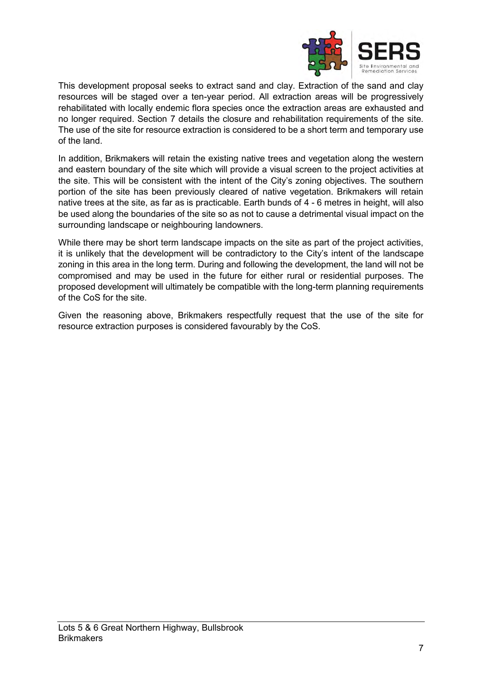

This development proposal seeks to extract sand and clay. Extraction of the sand and clay resources will be staged over a ten-year period. All extraction areas will be progressively rehabilitated with locally endemic flora species once the extraction areas are exhausted and no longer required. Section 7 details the closure and rehabilitation requirements of the site. The use of the site for resource extraction is considered to be a short term and temporary use of the land.

In addition, Brikmakers will retain the existing native trees and vegetation along the western and eastern boundary of the site which will provide a visual screen to the project activities at the site. This will be consistent with the intent of the City's zoning objectives. The southern portion of the site has been previously cleared of native vegetation. Brikmakers will retain native trees at the site, as far as is practicable. Earth bunds of 4 - 6 metres in height, will also be used along the boundaries of the site so as not to cause a detrimental visual impact on the surrounding landscape or neighbouring landowners.

While there may be short term landscape impacts on the site as part of the project activities, it is unlikely that the development will be contradictory to the City's intent of the landscape zoning in this area in the long term. During and following the development, the land will not be compromised and may be used in the future for either rural or residential purposes. The proposed development will ultimately be compatible with the long-term planning requirements of the CoS for the site.

Given the reasoning above, Brikmakers respectfully request that the use of the site for resource extraction purposes is considered favourably by the CoS.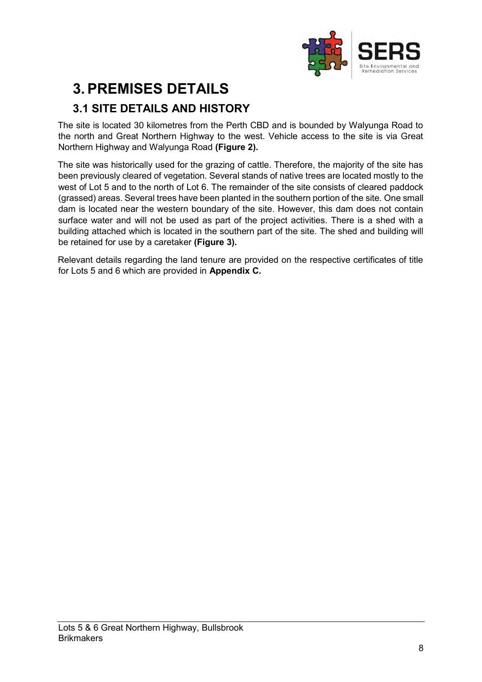

## <span id="page-11-0"></span>**3. PREMISES DETAILS**

### <span id="page-11-1"></span>**3.1 SITE DETAILS AND HISTORY**

The site is located 30 kilometres from the Perth CBD and is bounded by Walyunga Road to the north and Great Northern Highway to the west. Vehicle access to the site is via Great Northern Highway and Walyunga Road **(Figure 2).**

The site was historically used for the grazing of cattle. Therefore, the majority of the site has been previously cleared of vegetation. Several stands of native trees are located mostly to the west of Lot 5 and to the north of Lot 6. The remainder of the site consists of cleared paddock (grassed) areas. Several trees have been planted in the southern portion of the site. One small dam is located near the western boundary of the site. However, this dam does not contain surface water and will not be used as part of the project activities. There is a shed with a building attached which is located in the southern part of the site. The shed and building will be retained for use by a caretaker **(Figure 3).**

Relevant details regarding the land tenure are provided on the respective certificates of title for Lots 5 and 6 which are provided in **Appendix C.**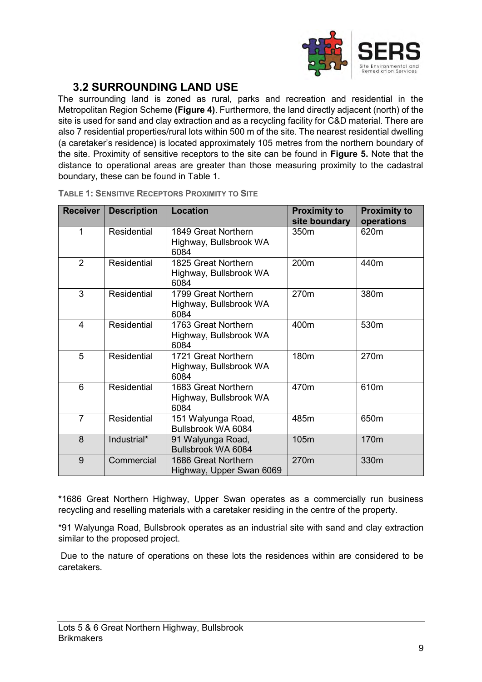

#### **3.2 SURROUNDING LAND USE**

<span id="page-12-0"></span>The surrounding land is zoned as rural, parks and recreation and residential in the Metropolitan Region Scheme **(Figure 4)**. Furthermore, the land directly adjacent (north) of the site is used for sand and clay extraction and as a recycling facility for C&D material. There are also 7 residential properties/rural lots within 500 m of the site. The nearest residential dwelling (a caretaker's residence) is located approximately 105 metres from the northern boundary of the site. Proximity of sensitive receptors to the site can be found in **Figure 5.** Note that the distance to operational areas are greater than those measuring proximity to the cadastral boundary, these can be found in Table 1.

| <b>Receiver</b> | <b>Description</b> | <b>Location</b>                                       | <b>Proximity to</b><br>site boundary | <b>Proximity to</b><br>operations |
|-----------------|--------------------|-------------------------------------------------------|--------------------------------------|-----------------------------------|
| 1               | Residential        | 1849 Great Northern<br>Highway, Bullsbrook WA<br>6084 | 350m                                 | 620m                              |
| $\overline{2}$  | Residential        | 1825 Great Northern<br>Highway, Bullsbrook WA<br>6084 | 200m                                 | 440m                              |
| 3               | Residential        | 1799 Great Northern<br>Highway, Bullsbrook WA<br>6084 | 270m                                 | 380m                              |
| 4               | Residential        | 1763 Great Northern<br>Highway, Bullsbrook WA<br>6084 | 400m                                 | 530m                              |
| 5               | Residential        | 1721 Great Northern<br>Highway, Bullsbrook WA<br>6084 | 180m                                 | 270m                              |
| 6               | Residential        | 1683 Great Northern<br>Highway, Bullsbrook WA<br>6084 | 470m                                 | 610m                              |
| $\overline{7}$  | Residential        | 151 Walyunga Road,<br>Bullsbrook WA 6084              | 485m                                 | 650m                              |
| 8               | Industrial*        | 91 Walyunga Road,<br>Bullsbrook WA 6084               | 105m                                 | 170 <sub>m</sub>                  |
| 9               | Commercial         | 1686 Great Northern<br>Highway, Upper Swan 6069       | 270m                                 | 330m                              |

**TABLE 1: SENSITIVE RECEPTORS PROXIMITY TO SITE**

**\***1686 Great Northern Highway, Upper Swan operates as a commercially run business recycling and reselling materials with a caretaker residing in the centre of the property.

\*91 Walyunga Road, Bullsbrook operates as an industrial site with sand and clay extraction similar to the proposed project.

Due to the nature of operations on these lots the residences within are considered to be caretakers.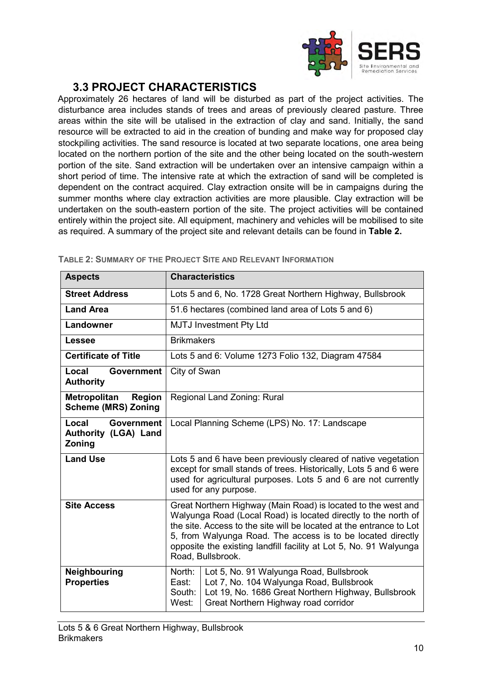

#### **3.3 PROJECT CHARACTERISTICS**

<span id="page-13-0"></span>Approximately 26 hectares of land will be disturbed as part of the project activities. The disturbance area includes stands of trees and areas of previously cleared pasture. Three areas within the site will be utalised in the extraction of clay and sand. Initially, the sand resource will be extracted to aid in the creation of bunding and make way for proposed clay stockpiling activities. The sand resource is located at two separate locations, one area being located on the northern portion of the site and the other being located on the south-western portion of the site. Sand extraction will be undertaken over an intensive campaign within a short period of time. The intensive rate at which the extraction of sand will be completed is dependent on the contract acquired. Clay extraction onsite will be in campaigns during the summer months where clay extraction activities are more plausible. Clay extraction will be undertaken on the south-eastern portion of the site. The project activities will be contained entirely within the project site. All equipment, machinery and vehicles will be mobilised to site as required. A summary of the project site and relevant details can be found in **Table 2.**

| <b>Aspects</b>                                                      | <b>Characteristics</b>                                                                                                                                                                                                                                                                                                                                          |                                                    |  |  |  |  |
|---------------------------------------------------------------------|-----------------------------------------------------------------------------------------------------------------------------------------------------------------------------------------------------------------------------------------------------------------------------------------------------------------------------------------------------------------|----------------------------------------------------|--|--|--|--|
| <b>Street Address</b>                                               | Lots 5 and 6, No. 1728 Great Northern Highway, Bullsbrook                                                                                                                                                                                                                                                                                                       |                                                    |  |  |  |  |
| <b>Land Area</b>                                                    |                                                                                                                                                                                                                                                                                                                                                                 | 51.6 hectares (combined land area of Lots 5 and 6) |  |  |  |  |
| Landowner                                                           |                                                                                                                                                                                                                                                                                                                                                                 | MJTJ Investment Pty Ltd                            |  |  |  |  |
| <b>Lessee</b>                                                       | <b>Brikmakers</b>                                                                                                                                                                                                                                                                                                                                               |                                                    |  |  |  |  |
| <b>Certificate of Title</b>                                         |                                                                                                                                                                                                                                                                                                                                                                 | Lots 5 and 6: Volume 1273 Folio 132, Diagram 47584 |  |  |  |  |
| Local<br>Government<br><b>Authority</b>                             | City of Swan                                                                                                                                                                                                                                                                                                                                                    |                                                    |  |  |  |  |
| <b>Region</b><br><b>Metropolitan</b><br><b>Scheme (MRS) Zoning</b>  | Regional Land Zoning: Rural                                                                                                                                                                                                                                                                                                                                     |                                                    |  |  |  |  |
| Local<br><b>Government</b><br><b>Authority (LGA) Land</b><br>Zoning | Local Planning Scheme (LPS) No. 17: Landscape                                                                                                                                                                                                                                                                                                                   |                                                    |  |  |  |  |
| <b>Land Use</b>                                                     | Lots 5 and 6 have been previously cleared of native vegetation<br>except for small stands of trees. Historically, Lots 5 and 6 were<br>used for agricultural purposes. Lots 5 and 6 are not currently<br>used for any purpose.                                                                                                                                  |                                                    |  |  |  |  |
| <b>Site Access</b>                                                  | Great Northern Highway (Main Road) is located to the west and<br>Walyunga Road (Local Road) is located directly to the north of<br>the site. Access to the site will be located at the entrance to Lot<br>5, from Walyunga Road. The access is to be located directly<br>opposite the existing landfill facility at Lot 5, No. 91 Walyunga<br>Road, Bullsbrook. |                                                    |  |  |  |  |
| Neighbouring<br><b>Properties</b>                                   | North:<br>Lot 5, No. 91 Walyunga Road, Bullsbrook<br>Lot 7, No. 104 Walyunga Road, Bullsbrook<br>East:<br>Lot 19, No. 1686 Great Northern Highway, Bullsbrook<br>South:<br>West:<br>Great Northern Highway road corridor                                                                                                                                        |                                                    |  |  |  |  |

**TABLE 2: SUMMARY OF THE PROJECT SITE AND RELEVANT INFORMATION**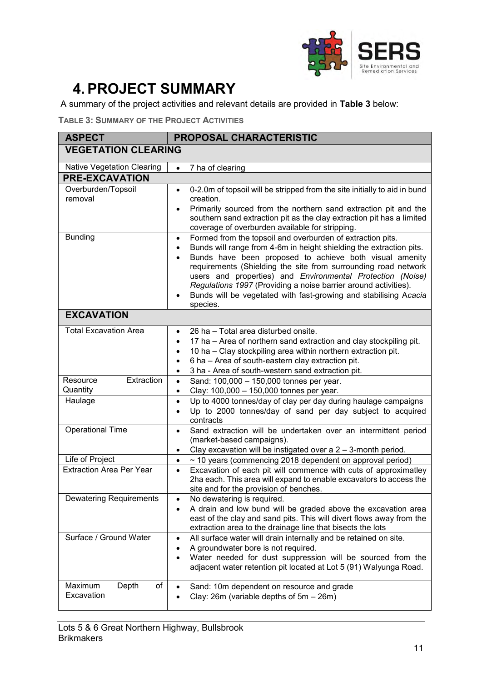

## <span id="page-14-0"></span>**4. PROJECT SUMMARY**

A summary of the project activities and relevant details are provided in **Table 3** below:

**TABLE 3: SUMMARY OF THE PROJECT ACTIVITIES**

| <b>ASPECT</b>                                      | <b>PROPOSAL CHARACTERISTIC</b>                                                                                                                     |
|----------------------------------------------------|----------------------------------------------------------------------------------------------------------------------------------------------------|
| <b>VEGETATION CLEARING</b>                         |                                                                                                                                                    |
| <b>Native Vegetation Clearing</b>                  | 7 ha of clearing<br>$\bullet$                                                                                                                      |
| <b>PRE-EXCAVATION</b>                              |                                                                                                                                                    |
| Overburden/Topsoil                                 | 0-2.0m of topsoil will be stripped from the site initially to aid in bund<br>$\bullet$                                                             |
| removal                                            | creation.                                                                                                                                          |
|                                                    | Primarily sourced from the northern sand extraction pit and the                                                                                    |
|                                                    | southern sand extraction pit as the clay extraction pit has a limited<br>coverage of overburden available for stripping.                           |
| <b>Bunding</b>                                     | Formed from the topsoil and overburden of extraction pits.<br>$\bullet$                                                                            |
|                                                    | Bunds will range from 4-6m in height shielding the extraction pits.<br>$\bullet$                                                                   |
|                                                    | Bunds have been proposed to achieve both visual amenity<br>$\bullet$<br>requirements (Shielding the site from surrounding road network             |
|                                                    | users and properties) and Environmental Protection (Noise)                                                                                         |
|                                                    | Regulations 1997 (Providing a noise barrier around activities).                                                                                    |
|                                                    | Bunds will be vegetated with fast-growing and stabilising Acacia                                                                                   |
|                                                    | species.                                                                                                                                           |
| <b>EXCAVATION</b>                                  |                                                                                                                                                    |
| <b>Total Excavation Area</b>                       | 26 ha - Total area disturbed onsite.<br>$\bullet$                                                                                                  |
|                                                    | 17 ha - Area of northern sand extraction and clay stockpiling pit.                                                                                 |
|                                                    | 10 ha - Clay stockpiling area within northern extraction pit.<br>$\bullet$                                                                         |
|                                                    | 6 ha - Area of south-eastern clay extraction pit.<br>$\bullet$<br>3 ha - Area of south-western sand extraction pit.<br>$\bullet$                   |
| Extraction<br>Resource                             | Sand: 100,000 - 150,000 tonnes per year.<br>$\bullet$                                                                                              |
| Quantity                                           | Clay: 100,000 - 150,000 tonnes per year.<br>$\bullet$                                                                                              |
| Haulage                                            | Up to 4000 tonnes/day of clay per day during haulage campaigns<br>$\bullet$                                                                        |
|                                                    | Up to 2000 tonnes/day of sand per day subject to acquired<br>$\bullet$                                                                             |
|                                                    | contracts                                                                                                                                          |
| <b>Operational Time</b>                            | Sand extraction will be undertaken over an intermittent period<br>$\bullet$                                                                        |
|                                                    | (market-based campaigns).                                                                                                                          |
|                                                    | Clay excavation will be instigated over $a 2 - 3$ -month period.<br>٠                                                                              |
| Life of Project<br><b>Extraction Area Per Year</b> | $\sim$ 10 years (commencing 2018 dependent on approval period)<br>$\bullet$                                                                        |
|                                                    | Excavation of each pit will commence with cuts of approximatley<br>$\bullet$<br>2ha each. This area will expand to enable excavators to access the |
|                                                    | site and for the provision of benches.                                                                                                             |
| <b>Dewatering Requirements</b>                     | No dewatering is required.                                                                                                                         |
|                                                    | A drain and low bund will be graded above the excavation area                                                                                      |
|                                                    | east of the clay and sand pits. This will divert flows away from the                                                                               |
|                                                    | extraction area to the drainage line that bisects the lots                                                                                         |
| Surface / Ground Water                             | All surface water will drain internally and be retained on site.<br>$\bullet$                                                                      |
|                                                    | A groundwater bore is not required.<br>٠                                                                                                           |
|                                                    | Water needed for dust suppression will be sourced from the<br>$\bullet$                                                                            |
|                                                    | adjacent water retention pit located at Lot 5 (91) Walyunga Road.                                                                                  |
| of<br>Maximum<br>Depth                             | Sand: 10m dependent on resource and grade<br>$\bullet$                                                                                             |
| Excavation                                         | Clay: $26m$ (variable depths of $5m - 26m$ )<br>٠                                                                                                  |
|                                                    |                                                                                                                                                    |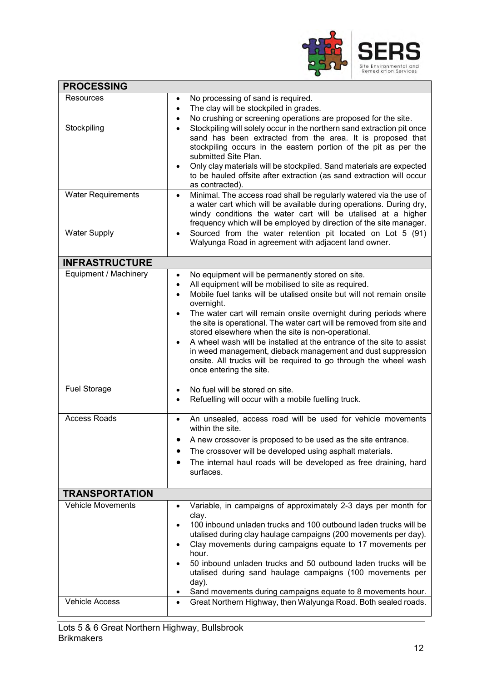

| <b>PROCESSING</b>         |                                                                                                                                                                    |
|---------------------------|--------------------------------------------------------------------------------------------------------------------------------------------------------------------|
| <b>Resources</b>          | No processing of sand is required.<br>$\bullet$                                                                                                                    |
|                           | The clay will be stockpiled in grades.<br>$\bullet$                                                                                                                |
| Stockpiling               | No crushing or screening operations are proposed for the site.<br>$\bullet$<br>Stockpiling will solely occur in the northern sand extraction pit once<br>$\bullet$ |
|                           | sand has been extracted from the area. It is proposed that                                                                                                         |
|                           | stockpiling occurs in the eastern portion of the pit as per the                                                                                                    |
|                           | submitted Site Plan.                                                                                                                                               |
|                           | Only clay materials will be stockpiled. Sand materials are expected<br>$\bullet$                                                                                   |
|                           | to be hauled offsite after extraction (as sand extraction will occur<br>as contracted).                                                                            |
| <b>Water Requirements</b> | Minimal. The access road shall be regularly watered via the use of<br>$\bullet$                                                                                    |
|                           | a water cart which will be available during operations. During dry,                                                                                                |
|                           | windy conditions the water cart will be utalised at a higher                                                                                                       |
| <b>Water Supply</b>       | frequency which will be employed by direction of the site manager.<br>Sourced from the water retention pit located on Lot 5 (91)<br>$\bullet$                      |
|                           | Walyunga Road in agreement with adjacent land owner.                                                                                                               |
|                           |                                                                                                                                                                    |
| <b>INFRASTRUCTURE</b>     |                                                                                                                                                                    |
| Equipment / Machinery     | No equipment will be permanently stored on site.<br>$\bullet$                                                                                                      |
|                           | All equipment will be mobilised to site as required.<br>$\bullet$<br>Mobile fuel tanks will be utalised onsite but will not remain onsite<br>$\bullet$             |
|                           | overnight.                                                                                                                                                         |
|                           | The water cart will remain onsite overnight during periods where<br>$\bullet$                                                                                      |
|                           | the site is operational. The water cart will be removed from site and                                                                                              |
|                           | stored elsewhere when the site is non-operational.<br>A wheel wash will be installed at the entrance of the site to assist                                         |
|                           | in weed management, dieback management and dust suppression                                                                                                        |
|                           | onsite. All trucks will be required to go through the wheel wash                                                                                                   |
|                           | once entering the site.                                                                                                                                            |
| <b>Fuel Storage</b>       | No fuel will be stored on site.<br>$\bullet$                                                                                                                       |
|                           | Refuelling will occur with a mobile fuelling truck.<br>$\bullet$                                                                                                   |
|                           |                                                                                                                                                                    |
| <b>Access Roads</b>       | An unsealed, access road will be used for vehicle movements<br>$\bullet$<br>within the site.                                                                       |
|                           | A new crossover is proposed to be used as the site entrance.                                                                                                       |
|                           | The crossover will be developed using asphalt materials.                                                                                                           |
|                           | The internal haul roads will be developed as free draining, hard                                                                                                   |
|                           | surfaces.                                                                                                                                                          |
|                           |                                                                                                                                                                    |
| <b>TRANSPORTATION</b>     |                                                                                                                                                                    |
| <b>Vehicle Movements</b>  | Variable, in campaigns of approximately 2-3 days per month for<br>$\bullet$                                                                                        |
|                           | clay.<br>100 inbound unladen trucks and 100 outbound laden trucks will be                                                                                          |
|                           | utalised during clay haulage campaigns (200 movements per day).                                                                                                    |
|                           | Clay movements during campaigns equate to 17 movements per                                                                                                         |
|                           | hour.                                                                                                                                                              |
|                           | 50 inbound unladen trucks and 50 outbound laden trucks will be<br>utalised during sand haulage campaigns (100 movements per                                        |
|                           | day).                                                                                                                                                              |
|                           | Sand movements during campaigns equate to 8 movements hour.                                                                                                        |
| <b>Vehicle Access</b>     | Great Northern Highway, then Walyunga Road. Both sealed roads.                                                                                                     |
|                           |                                                                                                                                                                    |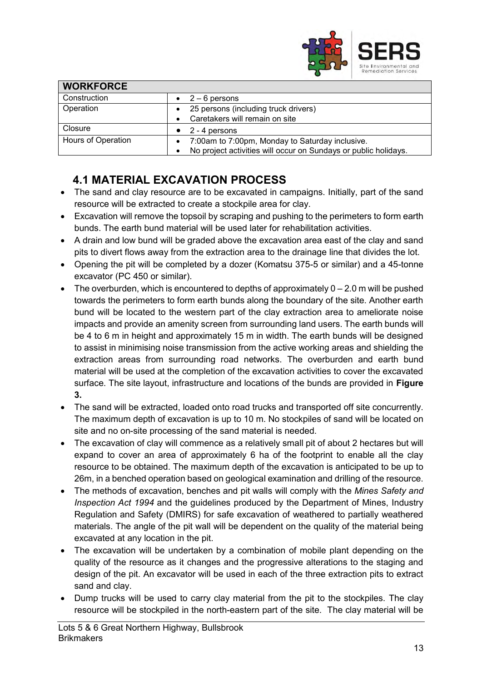

| <b>WORKFORCE</b>   |                                                                 |
|--------------------|-----------------------------------------------------------------|
| Construction       | $2-6$ persons                                                   |
| Operation          | 25 persons (including truck drivers)                            |
|                    | Caretakers will remain on site                                  |
| Closure            | 2 - 4 persons                                                   |
| Hours of Operation | 7:00am to 7:00pm, Monday to Saturday inclusive.                 |
|                    | No project activities will occur on Sundays or public holidays. |

#### **4.1 MATERIAL EXCAVATION PROCESS**

- <span id="page-16-0"></span>• The sand and clay resource are to be excavated in campaigns. Initially, part of the sand resource will be extracted to create a stockpile area for clay.
- Excavation will remove the topsoil by scraping and pushing to the perimeters to form earth bunds. The earth bund material will be used later for rehabilitation activities.
- A drain and low bund will be graded above the excavation area east of the clay and sand pits to divert flows away from the extraction area to the drainage line that divides the lot.
- Opening the pit will be completed by a dozer (Komatsu 375-5 or similar) and a 45-tonne excavator (PC 450 or similar).
- The overburden, which is encountered to depths of approximately  $0 2.0$  m will be pushed towards the perimeters to form earth bunds along the boundary of the site. Another earth bund will be located to the western part of the clay extraction area to ameliorate noise impacts and provide an amenity screen from surrounding land users. The earth bunds will be 4 to 6 m in height and approximately 15 m in width. The earth bunds will be designed to assist in minimising noise transmission from the active working areas and shielding the extraction areas from surrounding road networks. The overburden and earth bund material will be used at the completion of the excavation activities to cover the excavated surface. The site layout, infrastructure and locations of the bunds are provided in **Figure 3.**
- The sand will be extracted, loaded onto road trucks and transported off site concurrently. The maximum depth of excavation is up to 10 m. No stockpiles of sand will be located on site and no on-site processing of the sand material is needed.
- The excavation of clay will commence as a relatively small pit of about 2 hectares but will expand to cover an area of approximately 6 ha of the footprint to enable all the clay resource to be obtained. The maximum depth of the excavation is anticipated to be up to 26m, in a benched operation based on geological examination and drilling of the resource.
- The methods of excavation, benches and pit walls will comply with the *Mines Safety and Inspection Act 1994* and the guidelines produced by the Department of Mines, Industry Regulation and Safety (DMIRS) for safe excavation of weathered to partially weathered materials. The angle of the pit wall will be dependent on the quality of the material being excavated at any location in the pit.
- The excavation will be undertaken by a combination of mobile plant depending on the quality of the resource as it changes and the progressive alterations to the staging and design of the pit. An excavator will be used in each of the three extraction pits to extract sand and clay.
- Dump trucks will be used to carry clay material from the pit to the stockpiles. The clay resource will be stockpiled in the north-eastern part of the site. The clay material will be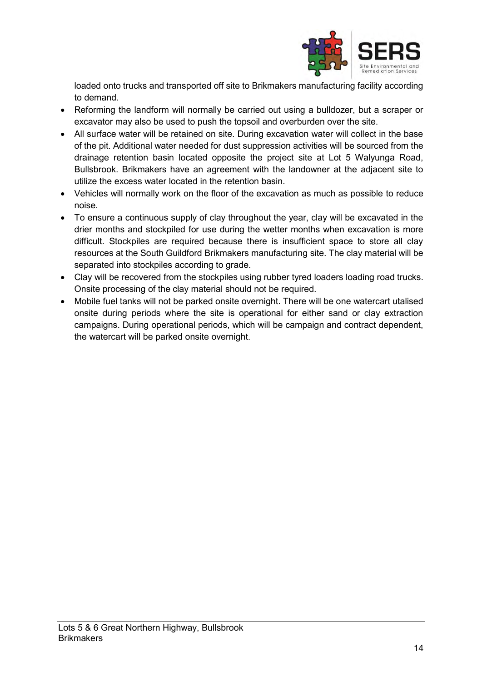

loaded onto trucks and transported off site to Brikmakers manufacturing facility according to demand.

- Reforming the landform will normally be carried out using a bulldozer, but a scraper or excavator may also be used to push the topsoil and overburden over the site.
- All surface water will be retained on site. During excavation water will collect in the base of the pit. Additional water needed for dust suppression activities will be sourced from the drainage retention basin located opposite the project site at Lot 5 Walyunga Road, Bullsbrook. Brikmakers have an agreement with the landowner at the adjacent site to utilize the excess water located in the retention basin.
- Vehicles will normally work on the floor of the excavation as much as possible to reduce noise.
- To ensure a continuous supply of clay throughout the year, clay will be excavated in the drier months and stockpiled for use during the wetter months when excavation is more difficult. Stockpiles are required because there is insufficient space to store all clay resources at the South Guildford Brikmakers manufacturing site. The clay material will be separated into stockpiles according to grade.
- Clay will be recovered from the stockpiles using rubber tyred loaders loading road trucks. Onsite processing of the clay material should not be required.
- Mobile fuel tanks will not be parked onsite overnight. There will be one watercart utalised onsite during periods where the site is operational for either sand or clay extraction campaigns. During operational periods, which will be campaign and contract dependent, the watercart will be parked onsite overnight.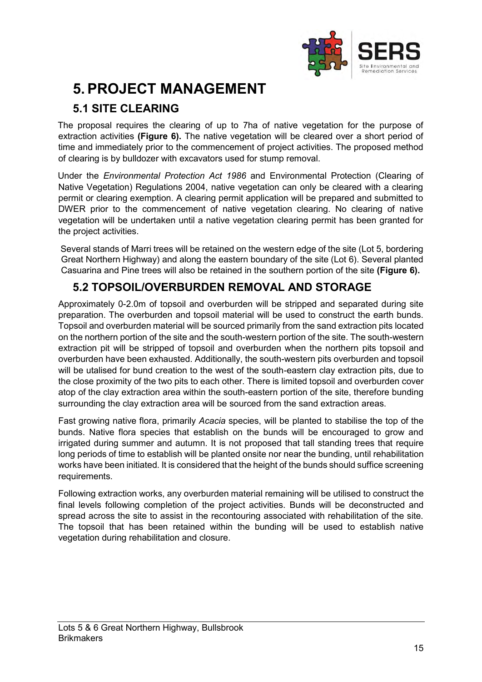

### <span id="page-18-0"></span>**5. PROJECT MANAGEMENT**

#### <span id="page-18-1"></span>**5.1 SITE CLEARING**

The proposal requires the clearing of up to 7ha of native vegetation for the purpose of extraction activities **(Figure 6).** The native vegetation will be cleared over a short period of time and immediately prior to the commencement of project activities. The proposed method of clearing is by bulldozer with excavators used for stump removal.

Under the *Environmental Protection Act 1986* and Environmental Protection (Clearing of Native Vegetation) Regulations 2004, native vegetation can only be cleared with a clearing permit or clearing exemption. A clearing permit application will be prepared and submitted to DWER prior to the commencement of native vegetation clearing. No clearing of native vegetation will be undertaken until a native vegetation clearing permit has been granted for the project activities.

Several stands of Marri trees will be retained on the western edge of the site (Lot 5, bordering Great Northern Highway) and along the eastern boundary of the site (Lot 6). Several planted Casuarina and Pine trees will also be retained in the southern portion of the site **(Figure 6).**

#### <span id="page-18-2"></span>**5.2 TOPSOIL/OVERBURDEN REMOVAL AND STORAGE**

Approximately 0-2.0m of topsoil and overburden will be stripped and separated during site preparation. The overburden and topsoil material will be used to construct the earth bunds. Topsoil and overburden material will be sourced primarily from the sand extraction pits located on the northern portion of the site and the south-western portion of the site. The south-western extraction pit will be stripped of topsoil and overburden when the northern pits topsoil and overburden have been exhausted. Additionally, the south-western pits overburden and topsoil will be utalised for bund creation to the west of the south-eastern clay extraction pits, due to the close proximity of the two pits to each other. There is limited topsoil and overburden cover atop of the clay extraction area within the south-eastern portion of the site, therefore bunding surrounding the clay extraction area will be sourced from the sand extraction areas.

Fast growing native flora, primarily *Acacia* species, will be planted to stabilise the top of the bunds. Native flora species that establish on the bunds will be encouraged to grow and irrigated during summer and autumn. It is not proposed that tall standing trees that require long periods of time to establish will be planted onsite nor near the bunding, until rehabilitation works have been initiated. It is considered that the height of the bunds should suffice screening requirements.

Following extraction works, any overburden material remaining will be utilised to construct the final levels following completion of the project activities. Bunds will be deconstructed and spread across the site to assist in the recontouring associated with rehabilitation of the site. The topsoil that has been retained within the bunding will be used to establish native vegetation during rehabilitation and closure.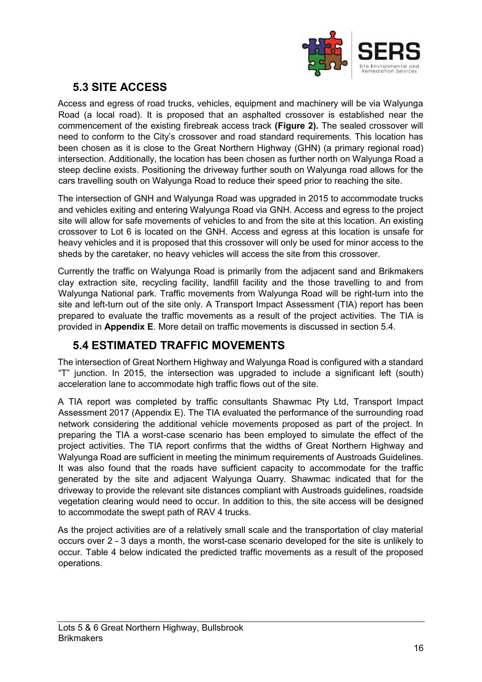

### <span id="page-19-0"></span>**5.3 SITE ACCESS**

Access and egress of road trucks, vehicles, equipment and machinery will be via Walyunga Road (a local road). It is proposed that an asphalted crossover is established near the commencement of the existing firebreak access track **(Figure 2).** The sealed crossover will need to conform to the City's crossover and road standard requirements. This location has been chosen as it is close to the Great Northern Highway (GHN) (a primary regional road) intersection. Additionally, the location has been chosen as further north on Walyunga Road a steep decline exists. Positioning the driveway further south on Walyunga road allows for the cars travelling south on Walyunga Road to reduce their speed prior to reaching the site.

The intersection of GNH and Walyunga Road was upgraded in 2015 to accommodate trucks and vehicles exiting and entering Walyunga Road via GNH. Access and egress to the project site will allow for safe movements of vehicles to and from the site at this location. An existing crossover to Lot 6 is located on the GNH. Access and egress at this location is unsafe for heavy vehicles and it is proposed that this crossover will only be used for minor access to the sheds by the caretaker, no heavy vehicles will access the site from this crossover.

Currently the traffic on Walyunga Road is primarily from the adjacent sand and Brikmakers clay extraction site, recycling facility, landfill facility and the those travelling to and from Walyunga National park. Traffic movements from Walyunga Road will be right-turn into the site and left-turn out of the site only. A Transport Impact Assessment (TIA) report has been prepared to evaluate the traffic movements as a result of the project activities. The TIA is provided in **Appendix E**. More detail on traffic movements is discussed in section 5.4.

#### <span id="page-19-1"></span>**5.4 ESTIMATED TRAFFIC MOVEMENTS**

The intersection of Great Northern Highway and Walyunga Road is configured with a standard "T" junction. In 2015, the intersection was upgraded to include a significant left (south) acceleration lane to accommodate high traffic flows out of the site.

A TIA report was completed by traffic consultants Shawmac Pty Ltd, Transport Impact Assessment 2017 (Appendix E). The TIA evaluated the performance of the surrounding road network considering the additional vehicle movements proposed as part of the project. In preparing the TIA a worst-case scenario has been employed to simulate the effect of the project activities. The TIA report confirms that the widths of Great Northern Highway and Walyunga Road are sufficient in meeting the minimum requirements of Austroads Guidelines. It was also found that the roads have sufficient capacity to accommodate for the traffic generated by the site and adjacent Walyunga Quarry. Shawmac indicated that for the driveway to provide the relevant site distances compliant with Austroads guidelines, roadside vegetation clearing would need to occur. In addition to this, the site access will be designed to accommodate the swept path of RAV 4 trucks.

As the project activities are of a relatively small scale and the transportation of clay material occurs over 2 - 3 days a month, the worst-case scenario developed for the site is unlikely to occur. Table 4 below indicated the predicted traffic movements as a result of the proposed operations.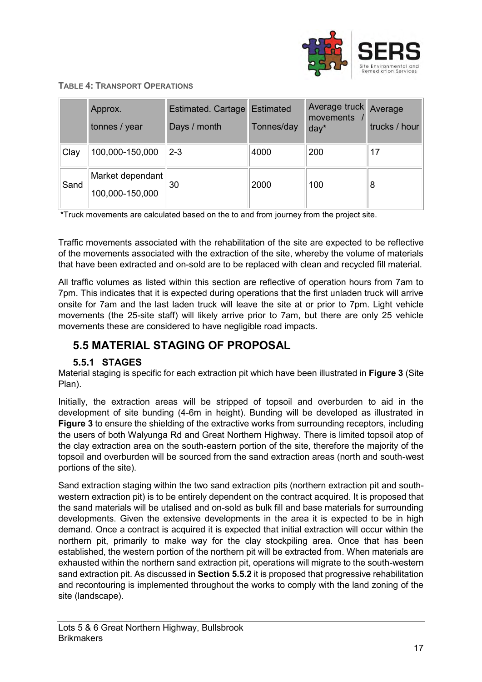

#### **TABLE 4: TRANSPORT OPERATIONS**

|      | Approx.<br>tonnes / year            | Estimated. Cartage<br>Days / month | <b>Estimated</b><br>Tonnes/day | Average truck Average<br>movements<br>$day*$ | trucks / hour |
|------|-------------------------------------|------------------------------------|--------------------------------|----------------------------------------------|---------------|
| Clay | 100,000-150,000                     | $2 - 3$                            | 4000                           | 200                                          | 17            |
| Sand | Market dependant<br>100,000-150,000 | 30                                 | 2000                           | 100                                          | 8             |

\*Truck movements are calculated based on the to and from journey from the project site.

Traffic movements associated with the rehabilitation of the site are expected to be reflective of the movements associated with the extraction of the site, whereby the volume of materials that have been extracted and on-sold are to be replaced with clean and recycled fill material.

All traffic volumes as listed within this section are reflective of operation hours from 7am to 7pm. This indicates that it is expected during operations that the first unladen truck will arrive onsite for 7am and the last laden truck will leave the site at or prior to 7pm. Light vehicle movements (the 25-site staff) will likely arrive prior to 7am, but there are only 25 vehicle movements these are considered to have negligible road impacts.

#### <span id="page-20-0"></span>**5.5 MATERIAL STAGING OF PROPOSAL**

#### **5.5.1 STAGES**

<span id="page-20-1"></span>Material staging is specific for each extraction pit which have been illustrated in **Figure 3** (Site Plan).

Initially, the extraction areas will be stripped of topsoil and overburden to aid in the development of site bunding (4-6m in height). Bunding will be developed as illustrated in **Figure 3** to ensure the shielding of the extractive works from surrounding receptors, including the users of both Walyunga Rd and Great Northern Highway. There is limited topsoil atop of the clay extraction area on the south-eastern portion of the site, therefore the majority of the topsoil and overburden will be sourced from the sand extraction areas (north and south-west portions of the site).

Sand extraction staging within the two sand extraction pits (northern extraction pit and southwestern extraction pit) is to be entirely dependent on the contract acquired. It is proposed that the sand materials will be utalised and on-sold as bulk fill and base materials for surrounding developments. Given the extensive developments in the area it is expected to be in high demand. Once a contract is acquired it is expected that initial extraction will occur within the northern pit, primarily to make way for the clay stockpiling area. Once that has been established, the western portion of the northern pit will be extracted from. When materials are exhausted within the northern sand extraction pit, operations will migrate to the south-western sand extraction pit. As discussed in **Section 5.5.2** it is proposed that progressive rehabilitation and recontouring is implemented throughout the works to comply with the land zoning of the site (landscape).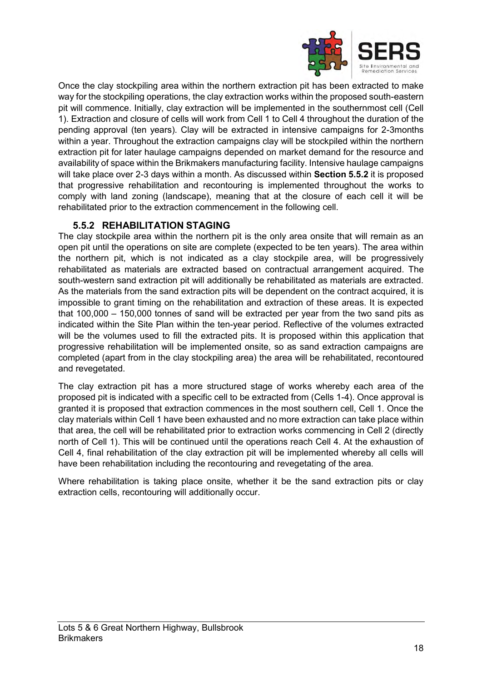

Once the clay stockpiling area within the northern extraction pit has been extracted to make way for the stockpiling operations, the clay extraction works within the proposed south-eastern pit will commence. Initially, clay extraction will be implemented in the southernmost cell (Cell 1). Extraction and closure of cells will work from Cell 1 to Cell 4 throughout the duration of the pending approval (ten years). Clay will be extracted in intensive campaigns for 2-3months within a year. Throughout the extraction campaigns clay will be stockpiled within the northern extraction pit for later haulage campaigns depended on market demand for the resource and availability of space within the Brikmakers manufacturing facility. Intensive haulage campaigns will take place over 2-3 days within a month. As discussed within **Section 5.5.2** it is proposed that progressive rehabilitation and recontouring is implemented throughout the works to comply with land zoning (landscape), meaning that at the closure of each cell it will be rehabilitated prior to the extraction commencement in the following cell.

#### **5.5.2 REHABILITATION STAGING**

<span id="page-21-0"></span>The clay stockpile area within the northern pit is the only area onsite that will remain as an open pit until the operations on site are complete (expected to be ten years). The area within the northern pit, which is not indicated as a clay stockpile area, will be progressively rehabilitated as materials are extracted based on contractual arrangement acquired. The south-western sand extraction pit will additionally be rehabilitated as materials are extracted. As the materials from the sand extraction pits will be dependent on the contract acquired, it is impossible to grant timing on the rehabilitation and extraction of these areas. It is expected that 100,000 – 150,000 tonnes of sand will be extracted per year from the two sand pits as indicated within the Site Plan within the ten-year period. Reflective of the volumes extracted will be the volumes used to fill the extracted pits. It is proposed within this application that progressive rehabilitation will be implemented onsite, so as sand extraction campaigns are completed (apart from in the clay stockpiling area) the area will be rehabilitated, recontoured and revegetated.

The clay extraction pit has a more structured stage of works whereby each area of the proposed pit is indicated with a specific cell to be extracted from (Cells 1-4). Once approval is granted it is proposed that extraction commences in the most southern cell, Cell 1. Once the clay materials within Cell 1 have been exhausted and no more extraction can take place within that area, the cell will be rehabilitated prior to extraction works commencing in Cell 2 (directly north of Cell 1). This will be continued until the operations reach Cell 4. At the exhaustion of Cell 4, final rehabilitation of the clay extraction pit will be implemented whereby all cells will have been rehabilitation including the recontouring and revegetating of the area.

Where rehabilitation is taking place onsite, whether it be the sand extraction pits or clay extraction cells, recontouring will additionally occur.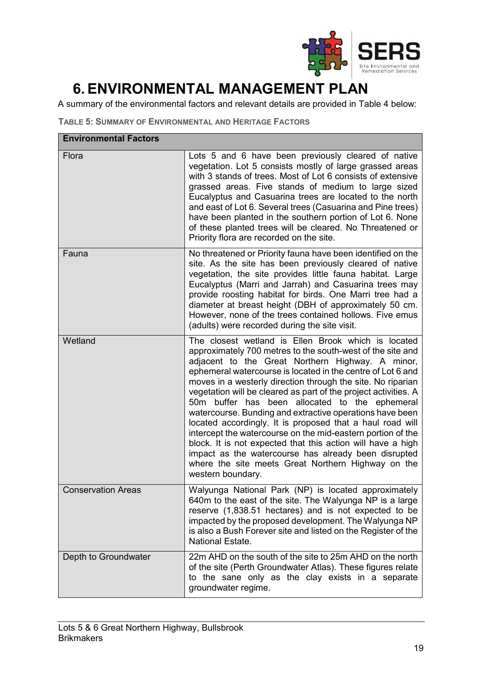

### <span id="page-22-0"></span>**6. ENVIRONMENTAL MANAGEMENT PLAN**

A summary of the environmental factors and relevant details are provided in Table 4 below:

**TABLE 5: SUMMARY OF ENVIRONMENTAL AND HERITAGE FACTORS**

| <b>Environmental Factors</b> |                                                                                                                                                                                                                                                                                                                                                                                                                                                                                                                                                                                                                                                                                                                                                                                                                    |  |  |  |
|------------------------------|--------------------------------------------------------------------------------------------------------------------------------------------------------------------------------------------------------------------------------------------------------------------------------------------------------------------------------------------------------------------------------------------------------------------------------------------------------------------------------------------------------------------------------------------------------------------------------------------------------------------------------------------------------------------------------------------------------------------------------------------------------------------------------------------------------------------|--|--|--|
| Flora                        | Lots 5 and 6 have been previously cleared of native<br>vegetation. Lot 5 consists mostly of large grassed areas<br>with 3 stands of trees. Most of Lot 6 consists of extensive<br>grassed areas. Five stands of medium to large sized<br>Eucalyptus and Casuarina trees are located to the north<br>and east of Lot 6. Several trees (Casuarina and Pine trees)<br>have been planted in the southern portion of Lot 6. None<br>of these planted trees will be cleared. No Threatened or<br>Priority flora are recorded on the site.                                                                                                                                                                                                                                                                                |  |  |  |
| Fauna                        | No threatened or Priority fauna have been identified on the<br>site. As the site has been previously cleared of native<br>vegetation, the site provides little fauna habitat. Large<br>Eucalyptus (Marri and Jarrah) and Casuarina trees may<br>provide roosting habitat for birds. One Marri tree had a<br>diameter at breast height (DBH of approximately 50 cm.<br>However, none of the trees contained hollows. Five emus<br>(adults) were recorded during the site visit.                                                                                                                                                                                                                                                                                                                                     |  |  |  |
| Wetland                      | The closest wetland is Ellen Brook which is located<br>approximately 700 metres to the south-west of the site and<br>adjacent to the Great Northern Highway. A minor,<br>ephemeral watercourse is located in the centre of Lot 6 and<br>moves in a westerly direction through the site. No riparian<br>vegetation will be cleared as part of the project activities. A<br>50m buffer has been allocated to the ephemeral<br>watercourse. Bunding and extractive operations have been<br>located accordingly. It is proposed that a haul road will<br>intercept the watercourse on the mid-eastern portion of the<br>block. It is not expected that this action will have a high<br>impact as the watercourse has already been disrupted<br>where the site meets Great Northern Highway on the<br>western boundary. |  |  |  |
| <b>Conservation Areas</b>    | Walyunga National Park (NP) is located approximately<br>640m to the east of the site. The Walyunga NP is a large<br>reserve (1,838.51 hectares) and is not expected to be<br>impacted by the proposed development. The Walyunga NP<br>is also a Bush Forever site and listed on the Register of the<br>National Estate.                                                                                                                                                                                                                                                                                                                                                                                                                                                                                            |  |  |  |
| Depth to Groundwater         | 22m AHD on the south of the site to 25m AHD on the north<br>of the site (Perth Groundwater Atlas). These figures relate<br>to the sane only as the clay exists in a separate<br>groundwater regime.                                                                                                                                                                                                                                                                                                                                                                                                                                                                                                                                                                                                                |  |  |  |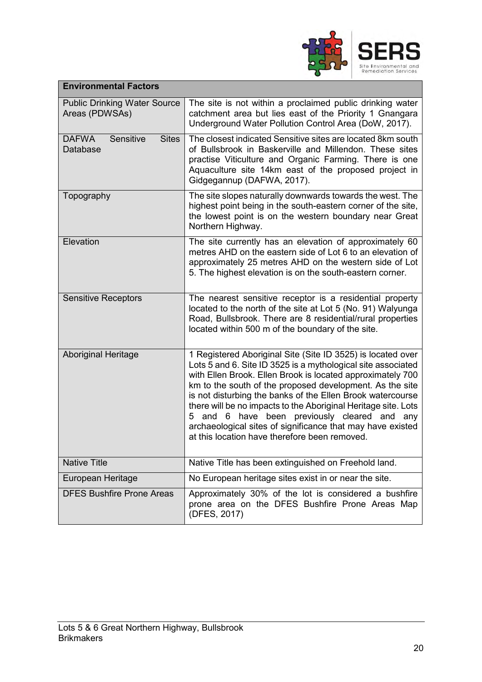

| <b>Environmental Factors</b>                          |                                                                                                                                                                                                                                                                                                                                                                                                                                                                                                                                                         |  |  |  |
|-------------------------------------------------------|---------------------------------------------------------------------------------------------------------------------------------------------------------------------------------------------------------------------------------------------------------------------------------------------------------------------------------------------------------------------------------------------------------------------------------------------------------------------------------------------------------------------------------------------------------|--|--|--|
| <b>Public Drinking Water Source</b><br>Areas (PDWSAs) | The site is not within a proclaimed public drinking water<br>catchment area but lies east of the Priority 1 Gnangara<br>Underground Water Pollution Control Area (DoW, 2017).                                                                                                                                                                                                                                                                                                                                                                           |  |  |  |
| Sensitive<br><b>Sites</b><br><b>DAFWA</b><br>Database | The closest indicated Sensitive sites are located 8km south<br>of Bullsbrook in Baskerville and Millendon. These sites<br>practise Viticulture and Organic Farming. There is one<br>Aquaculture site 14km east of the proposed project in<br>Gidgegannup (DAFWA, 2017).                                                                                                                                                                                                                                                                                 |  |  |  |
| Topography                                            | The site slopes naturally downwards towards the west. The<br>highest point being in the south-eastern corner of the site,<br>the lowest point is on the western boundary near Great<br>Northern Highway.                                                                                                                                                                                                                                                                                                                                                |  |  |  |
| Elevation                                             | The site currently has an elevation of approximately 60<br>metres AHD on the eastern side of Lot 6 to an elevation of<br>approximately 25 metres AHD on the western side of Lot<br>5. The highest elevation is on the south-eastern corner.                                                                                                                                                                                                                                                                                                             |  |  |  |
| <b>Sensitive Receptors</b>                            | The nearest sensitive receptor is a residential property<br>located to the north of the site at Lot 5 (No. 91) Walyunga<br>Road, Bullsbrook. There are 8 residential/rural properties<br>located within 500 m of the boundary of the site.                                                                                                                                                                                                                                                                                                              |  |  |  |
| <b>Aboriginal Heritage</b>                            | 1 Registered Aboriginal Site (Site ID 3525) is located over<br>Lots 5 and 6. Site ID 3525 is a mythological site associated<br>with Ellen Brook. Ellen Brook is located approximately 700<br>km to the south of the proposed development. As the site<br>is not disturbing the banks of the Ellen Brook watercourse<br>there will be no impacts to the Aboriginal Heritage site. Lots<br>and 6 have been previously cleared and any<br>5<br>archaeological sites of significance that may have existed<br>at this location have therefore been removed. |  |  |  |
| <b>Native Title</b>                                   | Native Title has been extinguished on Freehold land.                                                                                                                                                                                                                                                                                                                                                                                                                                                                                                    |  |  |  |
| European Heritage                                     | No European heritage sites exist in or near the site.                                                                                                                                                                                                                                                                                                                                                                                                                                                                                                   |  |  |  |
| <b>DFES Bushfire Prone Areas</b>                      | Approximately 30% of the lot is considered a bushfire<br>prone area on the DFES Bushfire Prone Areas Map<br>(DFES, 2017)                                                                                                                                                                                                                                                                                                                                                                                                                                |  |  |  |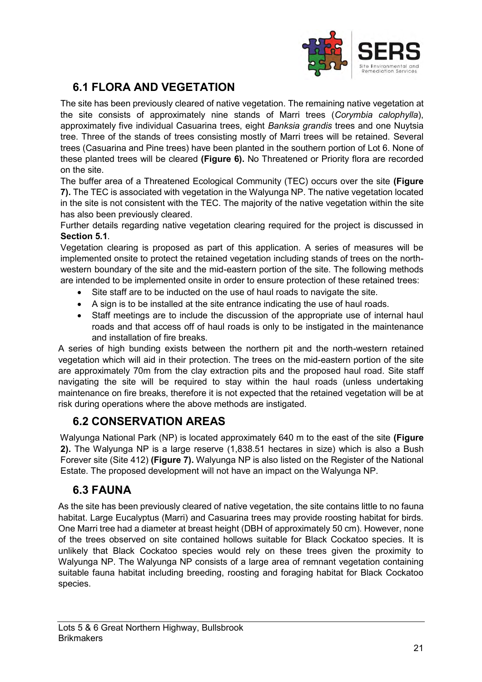

### <span id="page-24-0"></span>**6.1 FLORA AND VEGETATION**

The site has been previously cleared of native vegetation. The remaining native vegetation at the site consists of approximately nine stands of Marri trees (*Corymbia calophylla*), approximately five individual Casuarina trees, eight *Banksia grandis* trees and one Nuytsia tree. Three of the stands of trees consisting mostly of Marri trees will be retained. Several trees (Casuarina and Pine trees) have been planted in the southern portion of Lot 6. None of these planted trees will be cleared **(Figure 6).** No Threatened or Priority flora are recorded on the site.

The buffer area of a Threatened Ecological Community (TEC) occurs over the site **(Figure 7).** The TEC is associated with vegetation in the Walyunga NP. The native vegetation located in the site is not consistent with the TEC. The majority of the native vegetation within the site has also been previously cleared.

Further details regarding native vegetation clearing required for the project is discussed in **Section 5.1**.

Vegetation clearing is proposed as part of this application. A series of measures will be implemented onsite to protect the retained vegetation including stands of trees on the northwestern boundary of the site and the mid-eastern portion of the site. The following methods are intended to be implemented onsite in order to ensure protection of these retained trees:

- Site staff are to be inducted on the use of haul roads to navigate the site.
- A sign is to be installed at the site entrance indicating the use of haul roads.
- Staff meetings are to include the discussion of the appropriate use of internal haul roads and that access off of haul roads is only to be instigated in the maintenance and installation of fire breaks.

A series of high bunding exists between the northern pit and the north-western retained vegetation which will aid in their protection. The trees on the mid-eastern portion of the site are approximately 70m from the clay extraction pits and the proposed haul road. Site staff navigating the site will be required to stay within the haul roads (unless undertaking maintenance on fire breaks, therefore it is not expected that the retained vegetation will be at risk during operations where the above methods are instigated.

#### <span id="page-24-1"></span>**6.2 CONSERVATION AREAS**

Walyunga National Park (NP) is located approximately 640 m to the east of the site **(Figure 2).** The Walyunga NP is a large reserve (1,838.51 hectares in size) which is also a Bush Forever site (Site 412) **(Figure 7).** Walyunga NP is also listed on the Register of the National Estate. The proposed development will not have an impact on the Walyunga NP.

#### <span id="page-24-2"></span>**6.3 FAUNA**

As the site has been previously cleared of native vegetation, the site contains little to no fauna habitat. Large Eucalyptus (Marri) and Casuarina trees may provide roosting habitat for birds. One Marri tree had a diameter at breast height (DBH of approximately 50 cm). However, none of the trees observed on site contained hollows suitable for Black Cockatoo species. It is unlikely that Black Cockatoo species would rely on these trees given the proximity to Walyunga NP. The Walyunga NP consists of a large area of remnant vegetation containing suitable fauna habitat including breeding, roosting and foraging habitat for Black Cockatoo species.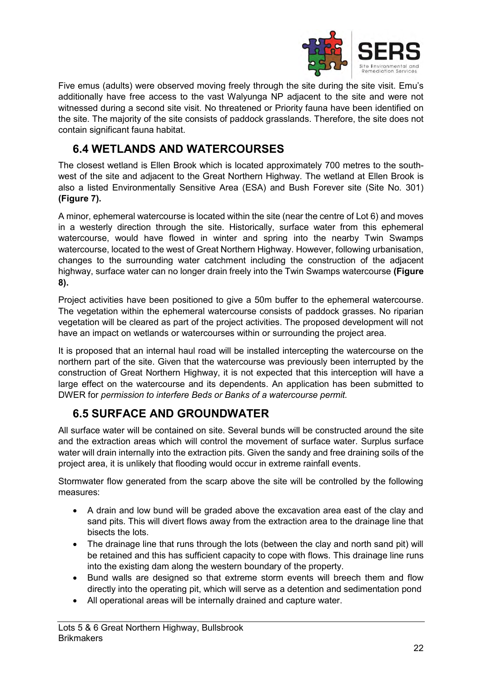

Five emus (adults) were observed moving freely through the site during the site visit. Emu's additionally have free access to the vast Walyunga NP adjacent to the site and were not witnessed during a second site visit. No threatened or Priority fauna have been identified on the site. The majority of the site consists of paddock grasslands. Therefore, the site does not contain significant fauna habitat.

#### <span id="page-25-0"></span>**6.4 WETLANDS AND WATERCOURSES**

The closest wetland is Ellen Brook which is located approximately 700 metres to the southwest of the site and adjacent to the Great Northern Highway. The wetland at Ellen Brook is also a listed Environmentally Sensitive Area (ESA) and Bush Forever site (Site No. 301) **(Figure 7).**

A minor, ephemeral watercourse is located within the site (near the centre of Lot 6) and moves in a westerly direction through the site. Historically, surface water from this ephemeral watercourse, would have flowed in winter and spring into the nearby Twin Swamps watercourse, located to the west of Great Northern Highway. However, following urbanisation, changes to the surrounding water catchment including the construction of the adjacent highway, surface water can no longer drain freely into the Twin Swamps watercourse **(Figure 8).** 

Project activities have been positioned to give a 50m buffer to the ephemeral watercourse. The vegetation within the ephemeral watercourse consists of paddock grasses. No riparian vegetation will be cleared as part of the project activities. The proposed development will not have an impact on wetlands or watercourses within or surrounding the project area.

It is proposed that an internal haul road will be installed intercepting the watercourse on the northern part of the site. Given that the watercourse was previously been interrupted by the construction of Great Northern Highway, it is not expected that this interception will have a large effect on the watercourse and its dependents. An application has been submitted to DWER for *permission to interfere Beds or Banks of a watercourse permit.*

#### <span id="page-25-1"></span>**6.5 SURFACE AND GROUNDWATER**

All surface water will be contained on site. Several bunds will be constructed around the site and the extraction areas which will control the movement of surface water. Surplus surface water will drain internally into the extraction pits. Given the sandy and free draining soils of the project area, it is unlikely that flooding would occur in extreme rainfall events.

Stormwater flow generated from the scarp above the site will be controlled by the following measures:

- A drain and low bund will be graded above the excavation area east of the clay and sand pits. This will divert flows away from the extraction area to the drainage line that bisects the lots.
- The drainage line that runs through the lots (between the clay and north sand pit) will be retained and this has sufficient capacity to cope with flows. This drainage line runs into the existing dam along the western boundary of the property.
- Bund walls are designed so that extreme storm events will breech them and flow directly into the operating pit, which will serve as a detention and sedimentation pond
- All operational areas will be internally drained and capture water.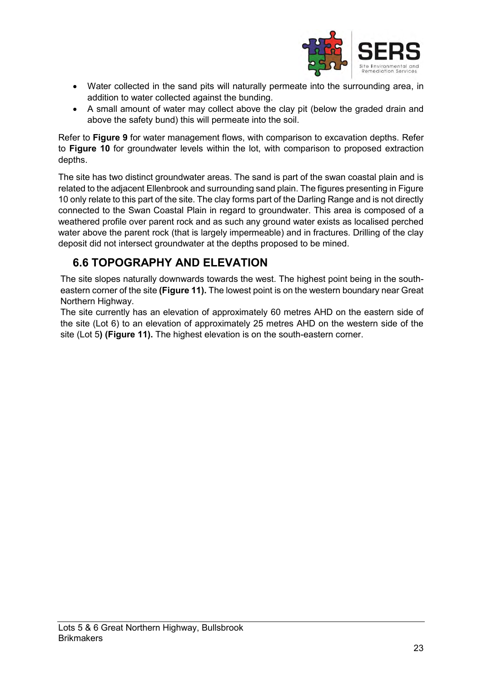

- Water collected in the sand pits will naturally permeate into the surrounding area, in addition to water collected against the bunding.
- A small amount of water may collect above the clay pit (below the graded drain and above the safety bund) this will permeate into the soil.

Refer to **Figure 9** for water management flows, with comparison to excavation depths. Refer to **Figure 10** for groundwater levels within the lot, with comparison to proposed extraction depths.

The site has two distinct groundwater areas. The sand is part of the swan coastal plain and is related to the adjacent Ellenbrook and surrounding sand plain. The figures presenting in Figure 10 only relate to this part of the site. The clay forms part of the Darling Range and is not directly connected to the Swan Coastal Plain in regard to groundwater. This area is composed of a weathered profile over parent rock and as such any ground water exists as localised perched water above the parent rock (that is largely impermeable) and in fractures. Drilling of the clay deposit did not intersect groundwater at the depths proposed to be mined.

#### <span id="page-26-0"></span>**6.6 TOPOGRAPHY AND ELEVATION**

The site slopes naturally downwards towards the west. The highest point being in the southeastern corner of the site **(Figure 11).** The lowest point is on the western boundary near Great Northern Highway.

The site currently has an elevation of approximately 60 metres AHD on the eastern side of the site (Lot 6) to an elevation of approximately 25 metres AHD on the western side of the site (Lot 5**) (Figure 11).** The highest elevation is on the south-eastern corner.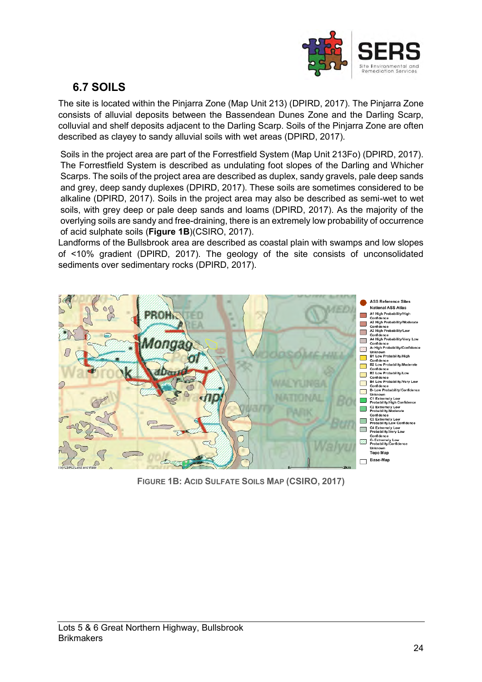

#### <span id="page-27-0"></span>**6.7 SOILS**

The site is located within the Pinjarra Zone (Map Unit 213) (DPIRD, 2017). The Pinjarra Zone consists of alluvial deposits between the Bassendean Dunes Zone and the Darling Scarp, colluvial and shelf deposits adjacent to the Darling Scarp. Soils of the Pinjarra Zone are often described as clayey to sandy alluvial soils with wet areas (DPIRD, 2017).

Soils in the project area are part of the Forrestfield System (Map Unit 213Fo) (DPIRD, 2017). The Forrestfield System is described as undulating foot slopes of the Darling and Whicher Scarps. The soils of the project area are described as duplex, sandy gravels, pale deep sands and grey, deep sandy duplexes (DPIRD, 2017). These soils are sometimes considered to be alkaline (DPIRD, 2017). Soils in the project area may also be described as semi-wet to wet soils, with grey deep or pale deep sands and loams (DPIRD, 2017). As the majority of the overlying soils are sandy and free-draining, there is an extremely low probability of occurrence of acid sulphate soils (**Figure 1B**)(CSIRO, 2017).

Landforms of the Bullsbrook area are described as coastal plain with swamps and low slopes of <10% gradient (DPIRD, 2017). The geology of the site consists of unconsolidated sediments over sedimentary rocks (DPIRD, 2017).



**FIGURE 1B: ACID SULFATE SOILS MAP (CSIRO, 2017)**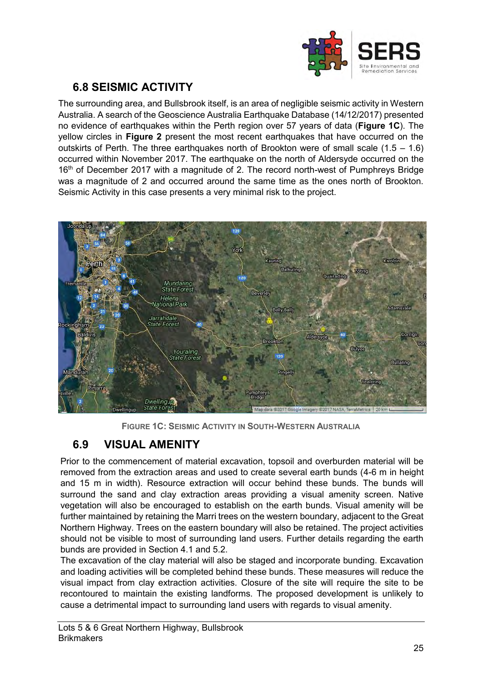

### <span id="page-28-0"></span>**6.8 SEISMIC ACTIVITY**

The surrounding area, and Bullsbrook itself, is an area of negligible seismic activity in Western Australia. A search of the Geoscience Australia Earthquake Database (14/12/2017) presented no evidence of earthquakes within the Perth region over 57 years of data (**Figure 1C**). The yellow circles in **Figure 2** present the most recent earthquakes that have occurred on the outskirts of Perth. The three earthquakes north of Brookton were of small scale  $(1.5 - 1.6)$ occurred within November 2017. The earthquake on the north of Aldersyde occurred on the 16<sup>th</sup> of December 2017 with a magnitude of 2. The record north-west of Pumphreys Bridge was a magnitude of 2 and occurred around the same time as the ones north of Brookton. Seismic Activity in this case presents a very minimal risk to the project.



**FIGURE 1C: SEISMIC ACTIVITY IN SOUTH-WESTERN AUSTRALIA**

#### <span id="page-28-1"></span>**6.9 VISUAL AMENITY**

Prior to the commencement of material excavation, topsoil and overburden material will be removed from the extraction areas and used to create several earth bunds (4-6 m in height and 15 m in width). Resource extraction will occur behind these bunds. The bunds will surround the sand and clay extraction areas providing a visual amenity screen. Native vegetation will also be encouraged to establish on the earth bunds. Visual amenity will be further maintained by retaining the Marri trees on the western boundary, adjacent to the Great Northern Highway. Trees on the eastern boundary will also be retained. The project activities should not be visible to most of surrounding land users. Further details regarding the earth bunds are provided in Section 4.1 and 5.2.

The excavation of the clay material will also be staged and incorporate bunding. Excavation and loading activities will be completed behind these bunds. These measures will reduce the visual impact from clay extraction activities. Closure of the site will require the site to be recontoured to maintain the existing landforms. The proposed development is unlikely to cause a detrimental impact to surrounding land users with regards to visual amenity.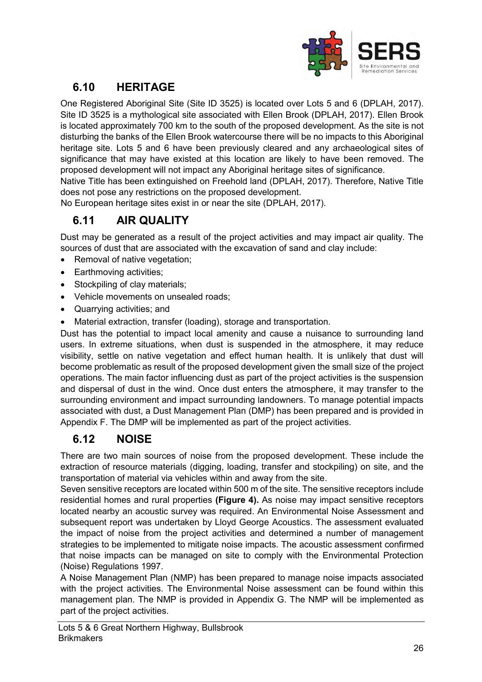

### <span id="page-29-0"></span>**6.10 HERITAGE**

One Registered Aboriginal Site (Site ID 3525) is located over Lots 5 and 6 (DPLAH, 2017). Site ID 3525 is a mythological site associated with Ellen Brook (DPLAH, 2017). Ellen Brook is located approximately 700 km to the south of the proposed development. As the site is not disturbing the banks of the Ellen Brook watercourse there will be no impacts to this Aboriginal heritage site. Lots 5 and 6 have been previously cleared and any archaeological sites of significance that may have existed at this location are likely to have been removed. The proposed development will not impact any Aboriginal heritage sites of significance.

Native Title has been extinguished on Freehold land (DPLAH, 2017). Therefore, Native Title does not pose any restrictions on the proposed development.

<span id="page-29-1"></span>No European heritage sites exist in or near the site (DPLAH, 2017).

#### **6.11 AIR QUALITY**

Dust may be generated as a result of the project activities and may impact air quality. The sources of dust that are associated with the excavation of sand and clay include:

- Removal of native vegetation;
- Earthmoving activities;
- Stockpiling of clay materials:
- Vehicle movements on unsealed roads;
- Quarrying activities; and
- Material extraction, transfer (loading), storage and transportation.

Dust has the potential to impact local amenity and cause a nuisance to surrounding land users. In extreme situations, when dust is suspended in the atmosphere, it may reduce visibility, settle on native vegetation and effect human health. It is unlikely that dust will become problematic as result of the proposed development given the small size of the project operations. The main factor influencing dust as part of the project activities is the suspension and dispersal of dust in the wind. Once dust enters the atmosphere, it may transfer to the surrounding environment and impact surrounding landowners. To manage potential impacts associated with dust, a Dust Management Plan (DMP) has been prepared and is provided in Appendix F. The DMP will be implemented as part of the project activities.

#### <span id="page-29-2"></span>**6.12 NOISE**

There are two main sources of noise from the proposed development. These include the extraction of resource materials (digging, loading, transfer and stockpiling) on site, and the transportation of material via vehicles within and away from the site.

Seven sensitive receptors are located within 500 m of the site. The sensitive receptors include residential homes and rural properties **(Figure 4).** As noise may impact sensitive receptors located nearby an acoustic survey was required. An Environmental Noise Assessment and subsequent report was undertaken by Lloyd George Acoustics. The assessment evaluated the impact of noise from the project activities and determined a number of management strategies to be implemented to mitigate noise impacts. The acoustic assessment confirmed that noise impacts can be managed on site to comply with the Environmental Protection (Noise) Regulations 1997.

A Noise Management Plan (NMP) has been prepared to manage noise impacts associated with the project activities. The Environmental Noise assessment can be found within this management plan. The NMP is provided in Appendix G. The NMP will be implemented as part of the project activities.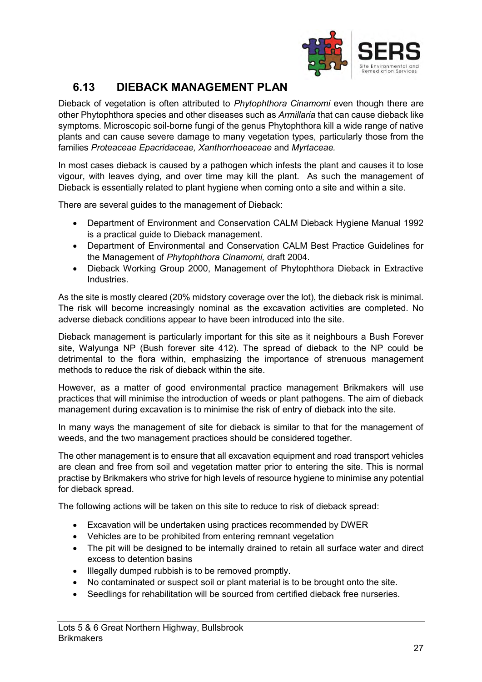

#### <span id="page-30-0"></span>**6.13 DIEBACK MANAGEMENT PLAN**

Dieback of vegetation is often attributed to *Phytophthora Cinamomi* even though there are other Phytophthora species and other diseases such as *Armillaria* that can cause dieback like symptoms. Microscopic soil-borne fungi of the genus Phytophthora kill a wide range of native plants and can cause severe damage to many vegetation types, particularly those from the families *Proteaceae Epacridaceae, Xanthorrhoeaceae* and *Myrtaceae.*

In most cases dieback is caused by a pathogen which infests the plant and causes it to lose vigour, with leaves dying, and over time may kill the plant. As such the management of Dieback is essentially related to plant hygiene when coming onto a site and within a site.

There are several guides to the management of Dieback:

- Department of Environment and Conservation CALM Dieback Hygiene Manual 1992 is a practical guide to Dieback management.
- Department of Environmental and Conservation CALM Best Practice Guidelines for the Management of *Phytophthora Cinamomi,* draft 2004.
- Dieback Working Group 2000, Management of Phytophthora Dieback in Extractive Industries.

As the site is mostly cleared (20% midstory coverage over the lot), the dieback risk is minimal. The risk will become increasingly nominal as the excavation activities are completed. No adverse dieback conditions appear to have been introduced into the site.

Dieback management is particularly important for this site as it neighbours a Bush Forever site, Walyunga NP (Bush forever site 412). The spread of dieback to the NP could be detrimental to the flora within, emphasizing the importance of strenuous management methods to reduce the risk of dieback within the site.

However, as a matter of good environmental practice management Brikmakers will use practices that will minimise the introduction of weeds or plant pathogens. The aim of dieback management during excavation is to minimise the risk of entry of dieback into the site.

In many ways the management of site for dieback is similar to that for the management of weeds, and the two management practices should be considered together.

The other management is to ensure that all excavation equipment and road transport vehicles are clean and free from soil and vegetation matter prior to entering the site. This is normal practise by Brikmakers who strive for high levels of resource hygiene to minimise any potential for dieback spread.

The following actions will be taken on this site to reduce to risk of dieback spread:

- Excavation will be undertaken using practices recommended by DWER
- Vehicles are to be prohibited from entering remnant vegetation
- The pit will be designed to be internally drained to retain all surface water and direct excess to detention basins
- Illegally dumped rubbish is to be removed promptly.
- No contaminated or suspect soil or plant material is to be brought onto the site.
- Seedlings for rehabilitation will be sourced from certified dieback free nurseries.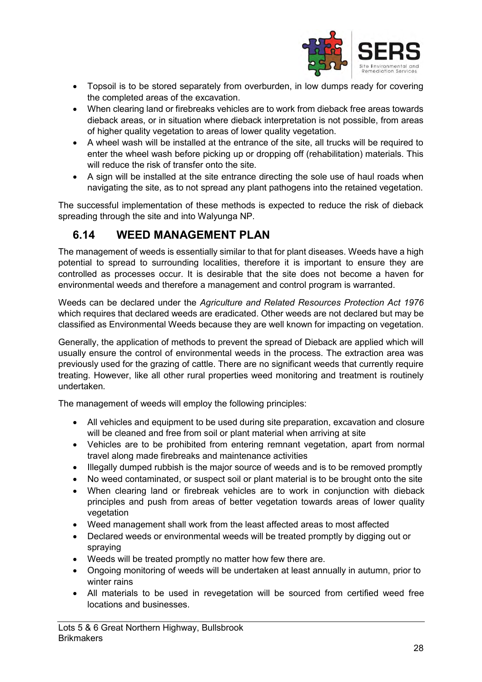

- Topsoil is to be stored separately from overburden, in low dumps ready for covering the completed areas of the excavation.
- When clearing land or firebreaks vehicles are to work from dieback free areas towards dieback areas, or in situation where dieback interpretation is not possible, from areas of higher quality vegetation to areas of lower quality vegetation.
- A wheel wash will be installed at the entrance of the site, all trucks will be required to enter the wheel wash before picking up or dropping off (rehabilitation) materials. This will reduce the risk of transfer onto the site.
- A sign will be installed at the site entrance directing the sole use of haul roads when navigating the site, as to not spread any plant pathogens into the retained vegetation.

The successful implementation of these methods is expected to reduce the risk of dieback spreading through the site and into Walyunga NP.

#### <span id="page-31-0"></span>**6.14 WEED MANAGEMENT PLAN**

The management of weeds is essentially similar to that for plant diseases. Weeds have a high potential to spread to surrounding localities, therefore it is important to ensure they are controlled as processes occur. It is desirable that the site does not become a haven for environmental weeds and therefore a management and control program is warranted.

Weeds can be declared under the *Agriculture and Related Resources Protection Act 1976* which requires that declared weeds are eradicated. Other weeds are not declared but may be classified as Environmental Weeds because they are well known for impacting on vegetation.

Generally, the application of methods to prevent the spread of Dieback are applied which will usually ensure the control of environmental weeds in the process. The extraction area was previously used for the grazing of cattle. There are no significant weeds that currently require treating. However, like all other rural properties weed monitoring and treatment is routinely undertaken.

The management of weeds will employ the following principles:

- All vehicles and equipment to be used during site preparation, excavation and closure will be cleaned and free from soil or plant material when arriving at site
- Vehicles are to be prohibited from entering remnant vegetation, apart from normal travel along made firebreaks and maintenance activities
- Illegally dumped rubbish is the major source of weeds and is to be removed promptly
- No weed contaminated, or suspect soil or plant material is to be brought onto the site
- When clearing land or firebreak vehicles are to work in conjunction with dieback principles and push from areas of better vegetation towards areas of lower quality vegetation
- Weed management shall work from the least affected areas to most affected
- Declared weeds or environmental weeds will be treated promptly by digging out or spraying
- Weeds will be treated promptly no matter how few there are.
- Ongoing monitoring of weeds will be undertaken at least annually in autumn, prior to winter rains
- All materials to be used in revegetation will be sourced from certified weed free locations and businesses.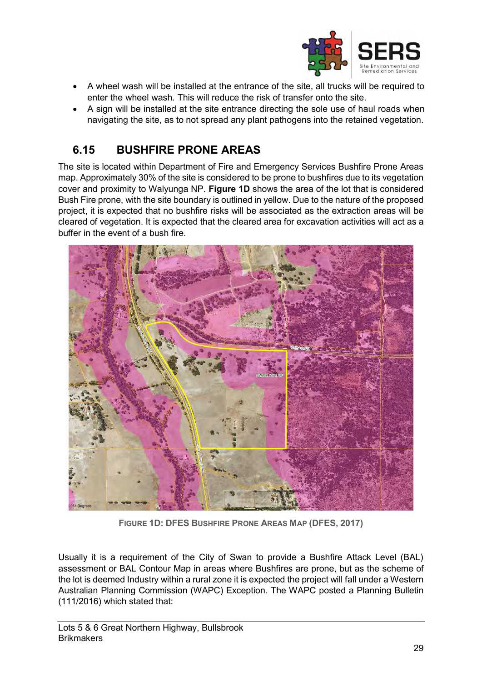

- A wheel wash will be installed at the entrance of the site, all trucks will be required to enter the wheel wash. This will reduce the risk of transfer onto the site.
- A sign will be installed at the site entrance directing the sole use of haul roads when navigating the site, as to not spread any plant pathogens into the retained vegetation.

#### <span id="page-32-0"></span>**6.15 BUSHFIRE PRONE AREAS**

The site is located within Department of Fire and Emergency Services Bushfire Prone Areas map. Approximately 30% of the site is considered to be prone to bushfires due to its vegetation cover and proximity to Walyunga NP. **Figure 1D** shows the area of the lot that is considered Bush Fire prone, with the site boundary is outlined in yellow. Due to the nature of the proposed project, it is expected that no bushfire risks will be associated as the extraction areas will be cleared of vegetation. It is expected that the cleared area for excavation activities will act as a buffer in the event of a bush fire.



**FIGURE 1D: DFES BUSHFIRE PRONE AREAS MAP (DFES, 2017)**

Usually it is a requirement of the City of Swan to provide a Bushfire Attack Level (BAL) assessment or BAL Contour Map in areas where Bushfires are prone, but as the scheme of the lot is deemed Industry within a rural zone it is expected the project will fall under a Western Australian Planning Commission (WAPC) Exception. The WAPC posted a Planning Bulletin (111/2016) which stated that: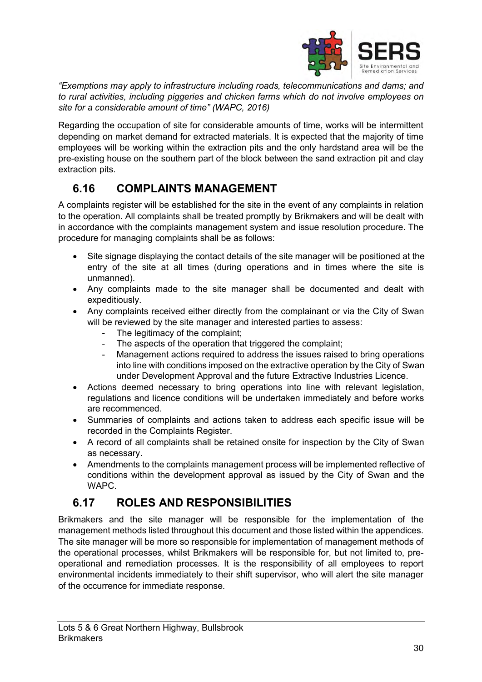

*"Exemptions may apply to infrastructure including roads, telecommunications and dams; and to rural activities, including piggeries and chicken farms which do not involve employees on site for a considerable amount of time" (WAPC, 2016)*

Regarding the occupation of site for considerable amounts of time, works will be intermittent depending on market demand for extracted materials. It is expected that the majority of time employees will be working within the extraction pits and the only hardstand area will be the pre-existing house on the southern part of the block between the sand extraction pit and clay extraction pits.

#### <span id="page-33-0"></span>**6.16 COMPLAINTS MANAGEMENT**

A complaints register will be established for the site in the event of any complaints in relation to the operation. All complaints shall be treated promptly by Brikmakers and will be dealt with in accordance with the complaints management system and issue resolution procedure. The procedure for managing complaints shall be as follows:

- Site signage displaying the contact details of the site manager will be positioned at the entry of the site at all times (during operations and in times where the site is unmanned).
- Any complaints made to the site manager shall be documented and dealt with expeditiously.
- Any complaints received either directly from the complainant or via the City of Swan will be reviewed by the site manager and interested parties to assess:
	- The legitimacy of the complaint:
	- The aspects of the operation that triggered the complaint;
	- Management actions required to address the issues raised to bring operations into line with conditions imposed on the extractive operation by the City of Swan under Development Approval and the future Extractive Industries Licence.
- Actions deemed necessary to bring operations into line with relevant legislation, regulations and licence conditions will be undertaken immediately and before works are recommenced.
- Summaries of complaints and actions taken to address each specific issue will be recorded in the Complaints Register.
- A record of all complaints shall be retained onsite for inspection by the City of Swan as necessary.
- Amendments to the complaints management process will be implemented reflective of conditions within the development approval as issued by the City of Swan and the WAPC.

#### <span id="page-33-1"></span>**6.17 ROLES AND RESPONSIBILITIES**

Brikmakers and the site manager will be responsible for the implementation of the management methods listed throughout this document and those listed within the appendices. The site manager will be more so responsible for implementation of management methods of the operational processes, whilst Brikmakers will be responsible for, but not limited to, preoperational and remediation processes. It is the responsibility of all employees to report environmental incidents immediately to their shift supervisor, who will alert the site manager of the occurrence for immediate response.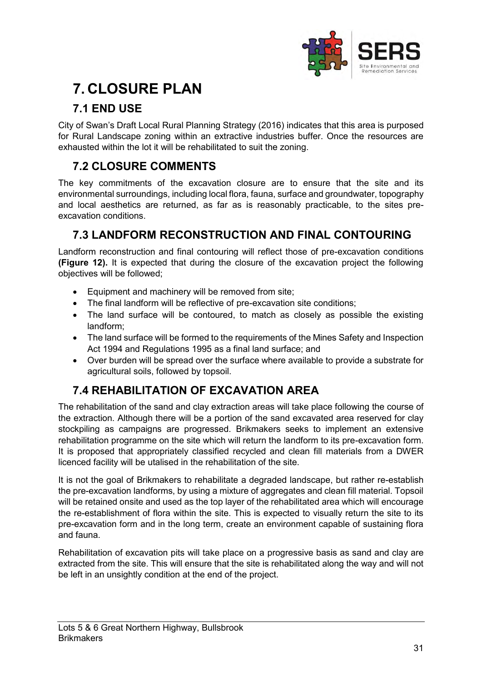

## <span id="page-34-0"></span>**7. CLOSURE PLAN**

### <span id="page-34-1"></span>**7.1 END USE**

City of Swan's Draft Local Rural Planning Strategy (2016) indicates that this area is purposed for Rural Landscape zoning within an extractive industries buffer. Once the resources are exhausted within the lot it will be rehabilitated to suit the zoning.

#### <span id="page-34-2"></span>**7.2 CLOSURE COMMENTS**

The key commitments of the excavation closure are to ensure that the site and its environmental surroundings, including local flora, fauna, surface and groundwater, topography and local aesthetics are returned, as far as is reasonably practicable, to the sites preexcavation conditions.

#### <span id="page-34-3"></span>**7.3 LANDFORM RECONSTRUCTION AND FINAL CONTOURING**

Landform reconstruction and final contouring will reflect those of pre-excavation conditions **(Figure 12).** It is expected that during the closure of the excavation project the following objectives will be followed;

- Equipment and machinery will be removed from site;
- The final landform will be reflective of pre-excavation site conditions;
- The land surface will be contoured, to match as closely as possible the existing landform;
- The land surface will be formed to the requirements of the Mines Safety and Inspection Act 1994 and Regulations 1995 as a final land surface; and
- Over burden will be spread over the surface where available to provide a substrate for agricultural soils, followed by topsoil.

#### <span id="page-34-4"></span>**7.4 REHABILITATION OF EXCAVATION AREA**

The rehabilitation of the sand and clay extraction areas will take place following the course of the extraction. Although there will be a portion of the sand excavated area reserved for clay stockpiling as campaigns are progressed. Brikmakers seeks to implement an extensive rehabilitation programme on the site which will return the landform to its pre-excavation form. It is proposed that appropriately classified recycled and clean fill materials from a DWER licenced facility will be utalised in the rehabilitation of the site.

It is not the goal of Brikmakers to rehabilitate a degraded landscape, but rather re-establish the pre-excavation landforms, by using a mixture of aggregates and clean fill material. Topsoil will be retained onsite and used as the top layer of the rehabilitated area which will encourage the re-establishment of flora within the site. This is expected to visually return the site to its pre-excavation form and in the long term, create an environment capable of sustaining flora and fauna.

Rehabilitation of excavation pits will take place on a progressive basis as sand and clay are extracted from the site. This will ensure that the site is rehabilitated along the way and will not be left in an unsightly condition at the end of the project.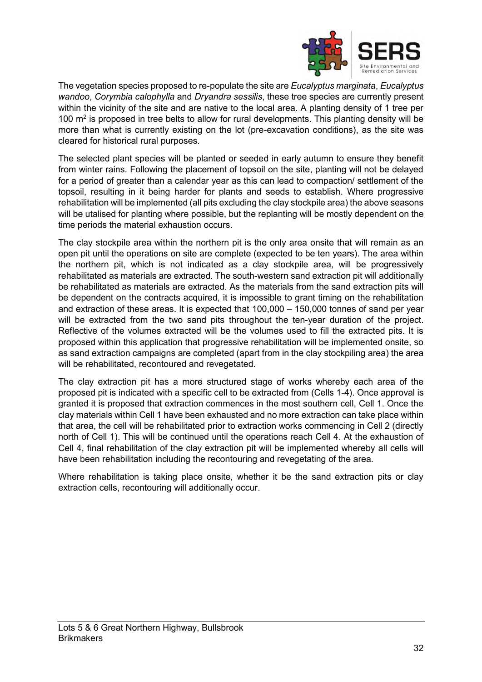

The vegetation species proposed to re-populate the site are *Eucalyptus marginata*, *Eucalyptus wandoo*, *Corymbia calophylla* and *Dryandra sessilis*, these tree species are currently present within the vicinity of the site and are native to the local area. A planting density of 1 tree per 100 m<sup>2</sup> is proposed in tree belts to allow for rural developments. This planting density will be more than what is currently existing on the lot (pre-excavation conditions), as the site was cleared for historical rural purposes.

The selected plant species will be planted or seeded in early autumn to ensure they benefit from winter rains. Following the placement of topsoil on the site, planting will not be delayed for a period of greater than a calendar year as this can lead to compaction/ settlement of the topsoil, resulting in it being harder for plants and seeds to establish. Where progressive rehabilitation will be implemented (all pits excluding the clay stockpile area) the above seasons will be utalised for planting where possible, but the replanting will be mostly dependent on the time periods the material exhaustion occurs.

The clay stockpile area within the northern pit is the only area onsite that will remain as an open pit until the operations on site are complete (expected to be ten years). The area within the northern pit, which is not indicated as a clay stockpile area, will be progressively rehabilitated as materials are extracted. The south-western sand extraction pit will additionally be rehabilitated as materials are extracted. As the materials from the sand extraction pits will be dependent on the contracts acquired, it is impossible to grant timing on the rehabilitation and extraction of these areas. It is expected that 100,000 – 150,000 tonnes of sand per year will be extracted from the two sand pits throughout the ten-year duration of the project. Reflective of the volumes extracted will be the volumes used to fill the extracted pits. It is proposed within this application that progressive rehabilitation will be implemented onsite, so as sand extraction campaigns are completed (apart from in the clay stockpiling area) the area will be rehabilitated, recontoured and revegetated.

The clay extraction pit has a more structured stage of works whereby each area of the proposed pit is indicated with a specific cell to be extracted from (Cells 1-4). Once approval is granted it is proposed that extraction commences in the most southern cell, Cell 1. Once the clay materials within Cell 1 have been exhausted and no more extraction can take place within that area, the cell will be rehabilitated prior to extraction works commencing in Cell 2 (directly north of Cell 1). This will be continued until the operations reach Cell 4. At the exhaustion of Cell 4, final rehabilitation of the clay extraction pit will be implemented whereby all cells will have been rehabilitation including the recontouring and revegetating of the area.

Where rehabilitation is taking place onsite, whether it be the sand extraction pits or clay extraction cells, recontouring will additionally occur.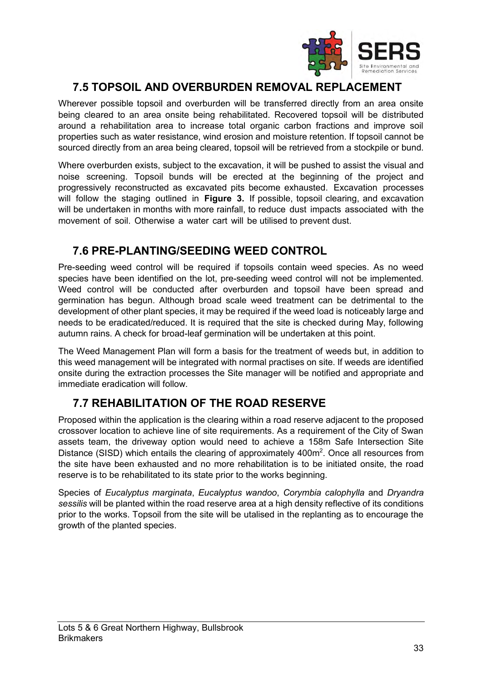

#### <span id="page-36-0"></span>**7.5 TOPSOIL AND OVERBURDEN REMOVAL REPLACEMENT**

Wherever possible topsoil and overburden will be transferred directly from an area onsite being cleared to an area onsite being rehabilitated. Recovered topsoil will be distributed around a rehabilitation area to increase total organic carbon fractions and improve soil properties such as water resistance, wind erosion and moisture retention. If topsoil cannot be sourced directly from an area being cleared, topsoil will be retrieved from a stockpile or bund.

Where overburden exists, subject to the excavation, it will be pushed to assist the visual and noise screening. Topsoil bunds will be erected at the beginning of the project and progressively reconstructed as excavated pits become exhausted. Excavation processes will follow the staging outlined in **Figure 3.** If possible, topsoil clearing, and excavation will be undertaken in months with more rainfall, to reduce dust impacts associated with the movement of soil. Otherwise a water cart will be utilised to prevent dust.

#### <span id="page-36-1"></span>**7.6 PRE-PLANTING/SEEDING WEED CONTROL**

Pre-seeding weed control will be required if topsoils contain weed species. As no weed species have been identified on the lot, pre-seeding weed control will not be implemented. Weed control will be conducted after overburden and topsoil have been spread and germination has begun. Although broad scale weed treatment can be detrimental to the development of other plant species, it may be required if the weed load is noticeably large and needs to be eradicated/reduced. It is required that the site is checked during May, following autumn rains. A check for broad-leaf germination will be undertaken at this point.

The Weed Management Plan will form a basis for the treatment of weeds but, in addition to this weed management will be integrated with normal practises on site. If weeds are identified onsite during the extraction processes the Site manager will be notified and appropriate and immediate eradication will follow.

#### <span id="page-36-2"></span>**7.7 REHABILITATION OF THE ROAD RESERVE**

Proposed within the application is the clearing within a road reserve adjacent to the proposed crossover location to achieve line of site requirements. As a requirement of the City of Swan assets team, the driveway option would need to achieve a 158m Safe Intersection Site Distance (SISD) which entails the clearing of approximately 400m<sup>2</sup>. Once all resources from the site have been exhausted and no more rehabilitation is to be initiated onsite, the road reserve is to be rehabilitated to its state prior to the works beginning.

Species of *Eucalyptus marginata*, *Eucalyptus wandoo*, *Corymbia calophylla* and *Dryandra sessilis* will be planted within the road reserve area at a high density reflective of its conditions prior to the works. Topsoil from the site will be utalised in the replanting as to encourage the growth of the planted species.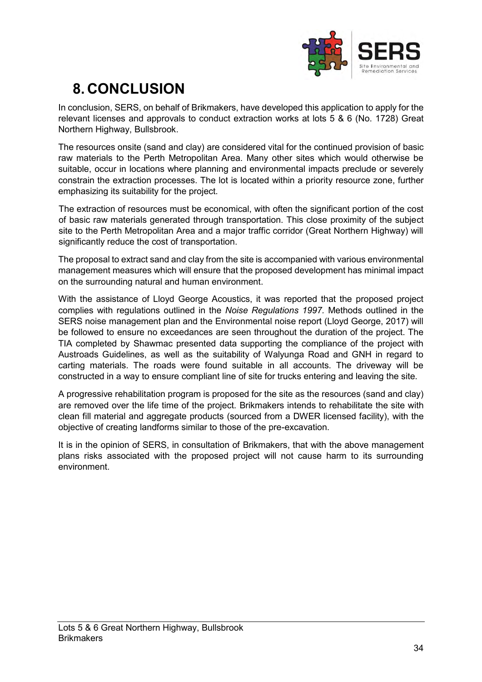

## <span id="page-37-0"></span>**8. CONCLUSION**

In conclusion, SERS, on behalf of Brikmakers, have developed this application to apply for the relevant licenses and approvals to conduct extraction works at lots 5 & 6 (No. 1728) Great Northern Highway, Bullsbrook.

The resources onsite (sand and clay) are considered vital for the continued provision of basic raw materials to the Perth Metropolitan Area. Many other sites which would otherwise be suitable, occur in locations where planning and environmental impacts preclude or severely constrain the extraction processes. The lot is located within a priority resource zone, further emphasizing its suitability for the project.

The extraction of resources must be economical, with often the significant portion of the cost of basic raw materials generated through transportation. This close proximity of the subject site to the Perth Metropolitan Area and a major traffic corridor (Great Northern Highway) will significantly reduce the cost of transportation.

The proposal to extract sand and clay from the site is accompanied with various environmental management measures which will ensure that the proposed development has minimal impact on the surrounding natural and human environment.

With the assistance of Lloyd George Acoustics, it was reported that the proposed project complies with regulations outlined in the *Noise Regulations 1997.* Methods outlined in the SERS noise management plan and the Environmental noise report (Lloyd George, 2017) will be followed to ensure no exceedances are seen throughout the duration of the project. The TIA completed by Shawmac presented data supporting the compliance of the project with Austroads Guidelines, as well as the suitability of Walyunga Road and GNH in regard to carting materials. The roads were found suitable in all accounts. The driveway will be constructed in a way to ensure compliant line of site for trucks entering and leaving the site.

A progressive rehabilitation program is proposed for the site as the resources (sand and clay) are removed over the life time of the project. Brikmakers intends to rehabilitate the site with clean fill material and aggregate products (sourced from a DWER licensed facility), with the objective of creating landforms similar to those of the pre-excavation.

It is in the opinion of SERS, in consultation of Brikmakers, that with the above management plans risks associated with the proposed project will not cause harm to its surrounding environment.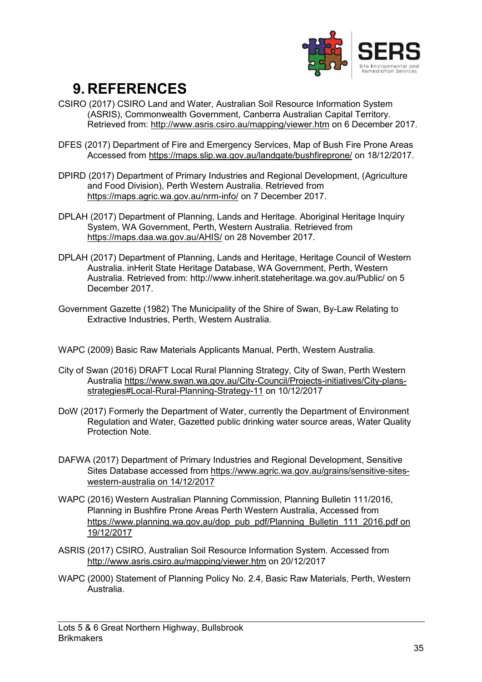

## <span id="page-38-0"></span>**9. REFERENCES**

- CSIRO (2017) CSIRO Land and Water, Australian Soil Resource Information System (ASRIS), Commonwealth Government, Canberra Australian Capital Territory. Retrieved from: <http://www.asris.csiro.au/mapping/viewer.htm> on 6 December 2017.
- DFES (2017) Department of Fire and Emergency Services, Map of Bush Fire Prone Areas Accessed from<https://maps.slip.wa.gov.au/landgate/bushfireprone/> on 18/12/2017.
- DPIRD (2017) Department of Primary Industries and Regional Development, (Agriculture and Food Division), Perth Western Australia. Retrieved from <https://maps.agric.wa.gov.au/nrm-info/> on 7 December 2017.
- DPLAH (2017) Department of Planning, Lands and Heritage. Aboriginal Heritage Inquiry System, WA Government, Perth, Western Australia. Retrieved from <https://maps.daa.wa.gov.au/AHIS/> on 28 November 2017.
- DPLAH (2017) Department of Planning, Lands and Heritage, Heritage Council of Western Australia. inHerit State Heritage Database, WA Government, Perth, Western Australia. Retrieved from: http://www.inherit.stateheritage.wa.gov.au/Public/ on 5 December 2017.
- Government Gazette (1982) The Municipality of the Shire of Swan, By-Law Relating to Extractive Industries, Perth, Western Australia.
- WAPC (2009) Basic Raw Materials Applicants Manual, Perth, Western Australia.
- City of Swan (2016) DRAFT Local Rural Planning Strategy, City of Swan, Perth Western Australia [https://www.swan.wa.gov.au/City-Council/Projects-initiatives/City-plans](https://www.swan.wa.gov.au/City-Council/Projects-initiatives/City-plans-strategies#Local-Rural-Planning-Strategy-11)[strategies#Local-Rural-Planning-Strategy-11](https://www.swan.wa.gov.au/City-Council/Projects-initiatives/City-plans-strategies#Local-Rural-Planning-Strategy-11) on 10/12/2017
- DoW (2017) Formerly the Department of Water, currently the Department of Environment Regulation and Water, Gazetted public drinking water source areas, Water Quality Protection Note.
- DAFWA (2017) Department of Primary Industries and Regional Development, Sensitive Sites Database accessed from [https://www.agric.wa.gov.au/grains/sensitive-sites](https://www.agric.wa.gov.au/grains/sensitive-sites-western-australia%20on%2014/12/2017)[western-australia on 14/12/2017](https://www.agric.wa.gov.au/grains/sensitive-sites-western-australia%20on%2014/12/2017)
- WAPC (2016) Western Australian Planning Commission, Planning Bulletin 111/2016, Planning in Bushfire Prone Areas Perth Western Australia, Accessed from https://www.planning.wa.gov.au/dop\_pub\_pdf/Planning\_Bulletin\_111\_2016.pdf on [19/12/2017](https://www.planning.wa.gov.au/dop_pub_pdf/Planning_Bulletin_111_2016.pdf%20on%2019/12/2017)
- ASRIS (2017) CSIRO, Australian Soil Resource Information System. Accessed from <http://www.asris.csiro.au/mapping/viewer.htm> on 20/12/2017
- WAPC (2000) Statement of Planning Policy No. 2.4, Basic Raw Materials, Perth, Western Australia.